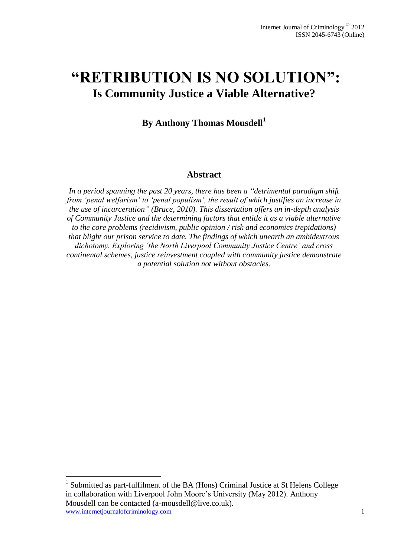## **"RETRIBUTION IS NO SOLUTION": Is Community Justice a Viable Alternative?**

**By Anthony Thomas Mousdell<sup>1</sup>**

#### **Abstract**

*In a period spanning the past 20 years, there has been a "detrimental paradigm shift from 'penal welfarism' to 'penal populism', the result of which justifies an increase in the use of incarceration" (Bruce, 2010). This dissertation offers an in-depth analysis of Community Justice and the determining factors that entitle it as a viable alternative to the core problems (recidivism, public opinion / risk and economics trepidations) that blight our prison service to date. The findings of which unearth an ambidextrous dichotomy. Exploring 'the North Liverpool Community Justice Centre' and cross continental schemes, justice reinvestment coupled with community justice demonstrate a potential solution not without obstacles.* 

 $\overline{a}$ 

www.internetjournalofcriminology.com 1 <sup>1</sup> Submitted as part-fulfilment of the BA (Hons) Criminal Justice at St Helens College in collaboration with Liverpool John Moore's University (May 2012). Anthony Mousdell can be contacted (a-mousdell@live.co.uk).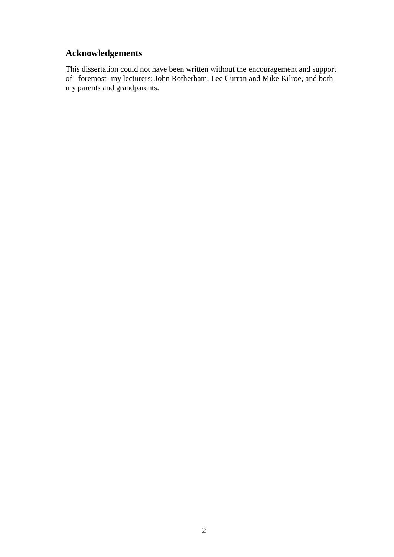## **Acknowledgements**

This dissertation could not have been written without the encouragement and support of –foremost- my lecturers: John Rotherham, Lee Curran and Mike Kilroe, and both my parents and grandparents.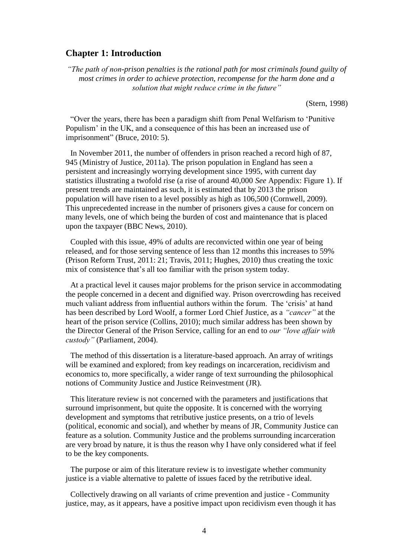#### **Chapter 1: Introduction**

*"The path of non-prison penalties is the rational path for most criminals found guilty of most crimes in order to achieve protection, recompense for the harm done and a solution that might reduce crime in the future"*

(Stern, 1998)

"Over the years, there has been a paradigm shift from Penal Welfarism to 'Punitive Populism' in the UK, and a consequence of this has been an increased use of imprisonment" (Bruce, 2010: 5).

In November 2011, the number of offenders in prison reached a record high of 87, 945 (Ministry of Justice, 2011a). The prison population in England has seen a persistent and increasingly worrying development since 1995, with current day statistics illustrating a twofold rise (a rise of around 40,000 *See* Appendix: Figure 1). If present trends are maintained as such, it is estimated that by 2013 the prison population will have risen to a level possibly as high as 106,500 (Cornwell, 2009). This unprecedented increase in the number of prisoners gives a cause for concern on many levels, one of which being the burden of cost and maintenance that is placed upon the taxpayer (BBC News, 2010).

Coupled with this issue, 49% of adults are reconvicted within one year of being released, and for those serving sentence of less than 12 months this increases to 59% (Prison Reform Trust, 2011: 21; Travis, 2011; Hughes, 2010) thus creating the toxic mix of consistence that's all too familiar with the prison system today.

At a practical level it causes major problems for the prison service in accommodating the people concerned in a decent and dignified way. Prison overcrowding has received much valiant address from influential authors within the forum. The 'crisis' at hand has been described by Lord Woolf, a former Lord Chief Justice, as a *"cancer"* at the heart of the prison service (Collins, 2010); much similar address has been shown by the Director General of the Prison Service, calling for an end to *our "love affair with custody"* (Parliament, 2004).

The method of this dissertation is a literature-based approach. An array of writings will be examined and explored; from key readings on incarceration, recidivism and economics to, more specifically, a wider range of text surrounding the philosophical notions of Community Justice and Justice Reinvestment (JR).

This literature review is not concerned with the parameters and justifications that surround imprisonment, but quite the opposite. It is concerned with the worrying development and symptoms that retributive justice presents, on a trio of levels (political, economic and social), and whether by means of JR, Community Justice can feature as a solution. Community Justice and the problems surrounding incarceration are very broad by nature, it is thus the reason why I have only considered what if feel to be the key components.

The purpose or aim of this literature review is to investigate whether community justice is a viable alternative to palette of issues faced by the retributive ideal.

Collectively drawing on all variants of crime prevention and justice - Community justice, may, as it appears, have a positive impact upon recidivism even though it has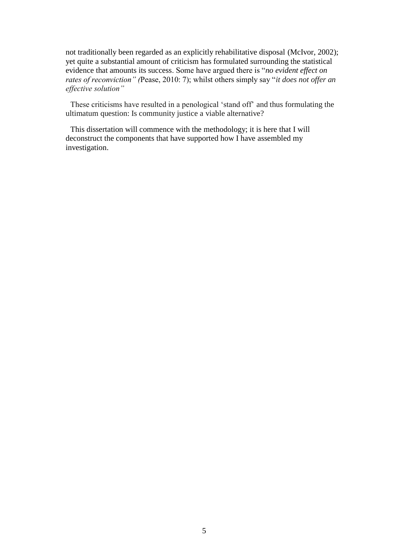not traditionally been regarded as an explicitly rehabilitative disposal (McIvor, 2002); yet quite a substantial amount of criticism has formulated surrounding the statistical evidence that amounts its success. Some have argued there is "*no evident effect on rates of reconviction" (*Pease, 2010: 7); whilst others simply say "*it does not offer an effective solution"*

These criticisms have resulted in a penological 'stand off' and thus formulating the ultimatum question: Is community justice a viable alternative?

This dissertation will commence with the methodology; it is here that I will deconstruct the components that have supported how I have assembled my investigation.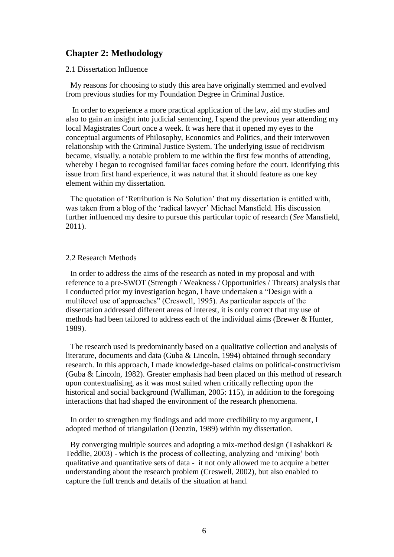#### **Chapter 2: Methodology**

2.1 Dissertation Influence

My reasons for choosing to study this area have originally stemmed and evolved from previous studies for my Foundation Degree in Criminal Justice.

In order to experience a more practical application of the law, aid my studies and also to gain an insight into judicial sentencing, I spend the previous year attending my local Magistrates Court once a week. It was here that it opened my eyes to the conceptual arguments of Philosophy, Economics and Politics, and their interwoven relationship with the Criminal Justice System. The underlying issue of recidivism became, visually, a notable problem to me within the first few months of attending, whereby I began to recognised familiar faces coming before the court. Identifying this issue from first hand experience, it was natural that it should feature as one key element within my dissertation.

The quotation of 'Retribution is No Solution' that my dissertation is entitled with, was taken from a blog of the 'radical lawyer' Michael Mansfield. His discussion further influenced my desire to pursue this particular topic of research (*See* Mansfield, 2011).

#### 2.2 Research Methods

In order to address the aims of the research as noted in my proposal and with reference to a pre-SWOT (Strength / Weakness / Opportunities / Threats) analysis that I conducted prior my investigation began, I have undertaken a "Design with a multilevel use of approaches" (Creswell, 1995). As particular aspects of the dissertation addressed different areas of interest, it is only correct that my use of methods had been tailored to address each of the individual aims (Brewer & Hunter, 1989).

The research used is predominantly based on a qualitative collection and analysis of literature, documents and data (Guba & Lincoln, 1994) obtained through secondary research. In this approach, I made knowledge-based claims on political-constructivism (Guba & Lincoln, 1982). Greater emphasis had been placed on this method of research upon contextualising, as it was most suited when critically reflecting upon the historical and social background (Walliman, 2005: 115), in addition to the foregoing interactions that had shaped the environment of the research phenomena.

In order to strengthen my findings and add more credibility to my argument, I adopted method of triangulation (Denzin, 1989) within my dissertation.

By converging multiple sources and adopting a mix-method design (Tashakkori & Teddlie, 2003) - which is the process of collecting, analyzing and 'mixing' both qualitative and quantitative sets of data - it not only allowed me to acquire a better understanding about the research problem (Creswell, 2002), but also enabled to capture the full trends and details of the situation at hand.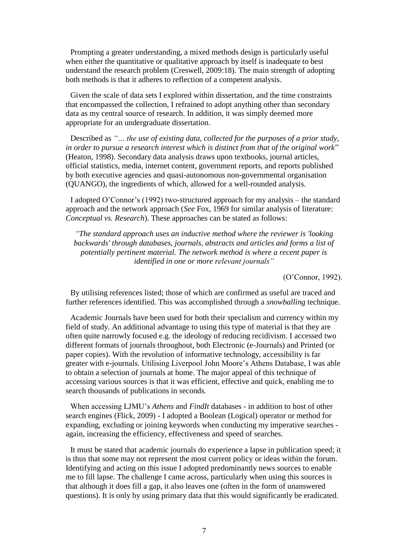Prompting a greater understanding, a mixed methods design is particularly useful when either the quantitative or qualitative approach by itself is inadequate to best understand the research problem (Creswell, 2009:18). The main strength of adopting both methods is that it adheres to reflection of a competent analysis.

Given the scale of data sets I explored within dissertation, and the time constraints that encompassed the collection, I refrained to adopt anything other than secondary data as my central source of research. In addition, it was simply deemed more appropriate for an undergraduate dissertation.

Described as *"… the use of existing data, collected for the purposes of a prior study, in order to pursue a research interest which is distinct from that of the original work*" (Heaton, 1998). Secondary data analysis draws upon textbooks, journal articles, official statistics, media, internet content, government reports, and reports published by both executive agencies and quasi-autonomous non-governmental organisation (QUANGO), the ingredients of which, allowed for a well-rounded analysis.

I adopted O'Connor's (1992) two-structured approach for my analysis – the standard approach and the network approach (*See* Fox, 1969 for similar analysis of literature: *Conceptual vs. Research*). These approaches can be stated as follows:

*"The standard approach uses an inductive method where the reviewer is 'looking backwards' through databases, journals, abstracts and articles and forms a list of potentially pertinent material. The network method is where a recent paper is identified in one or more relevant journals"*

(O'Connor, 1992).

By utilising references listed; those of which are confirmed as useful are traced and further references identified. This was accomplished through a *snowballing* technique.

Academic Journals have been used for both their specialism and currency within my field of study. An additional advantage to using this type of material is that they are often quite narrowly focused e.g. the ideology of reducing recidivism. I accessed two different formats of journals throughout, both Electronic (e-Journals) and Printed (or paper copies). With the revolution of informative technology, accessibility is far greater with e-journals. Utilising Liverpool John Moore's Athens Database, I was able to obtain a selection of journals at home. The major appeal of this technique of accessing various sources is that it was efficient, effective and quick, enabling me to search thousands of publications in seconds.

When accessing LJMU's *Athens* and *FindIt* databases - in addition to host of other search engines (Flick, 2009) - I adopted a Boolean (Logical) operator or method for expanding, excluding or joining keywords when conducting my imperative searches again, increasing the efficiency, effectiveness and speed of searches.

It must be stated that academic journals do experience a lapse in publication speed; it is thus that some may not represent the most current policy or ideas within the forum. Identifying and acting on this issue I adopted predominantly news sources to enable me to fill lapse. The challenge I came across, particularly when using this sources is that although it does fill a gap, it also leaves one (often in the form of unanswered questions). It is only by using primary data that this would significantly be eradicated.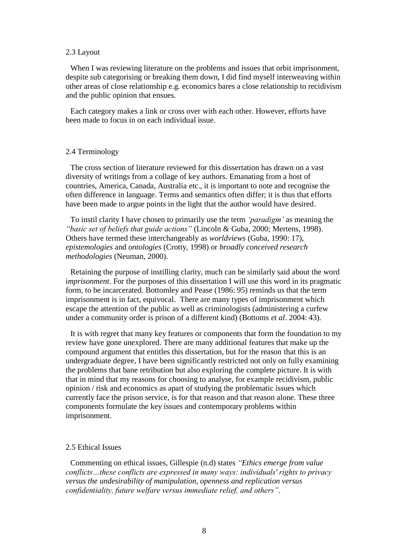#### 2.3 Layout

When I was reviewing literature on the problems and issues that orbit imprisonment, despite sub categorising or breaking them down, I did find myself interweaving within other areas of close relationship e.g. economics bares a close relationship to recidivism and the public opinion that ensues.

Each category makes a link or cross over with each other. However, efforts have been made to focus in on each individual issue.

#### 2.4 Terminology

The cross section of literature reviewed for this dissertation has drawn on a vast diversity of writings from a collage of key authors. Emanating from a host of countries, America, Canada, Australia etc., it is important to note and recognise the often difference in language. Terms and semantics often differ; it is thus that efforts have been made to argue points in the light that the author would have desired.

To instil clarity I have chosen to primarily use the term *'paradigm'* as meaning the *"basic set of beliefs that guide actions"* (Lincoln & Guba, 2000; Mertens, 1998). Others have termed these interchangeably as *worldviews* (Guba, 1990: 17), *epistemologies* and *ontologies* (Crotty, 1998) or *broadly conceived research methodologies* (Neuman, 2000).

Retaining the purpose of instilling clarity, much can be similarly said about the word i*mprisonment*. For the purposes of this dissertation I will use this word in its pragmatic form, to be incarcerated. Bottomley and Pease (1986: 95) reminds us that the term imprisonment is in fact, equivocal. There are many types of imprisonment which escape the attention of the public as well as criminologists (administering a curfew under a community order is prison of a different kind) (Bottoms *et al*. 2004: 43).

It is with regret that many key features or components that form the foundation to my review have gone unexplored. There are many additional features that make up the compound argument that entitles this dissertation, but for the reason that this is an undergraduate degree, I have been significantly restricted not only on fully examining the problems that bane retribution but also exploring the complete picture. It is with that in mind that my reasons for choosing to analyse, for example recidivism, public opinion / risk and economics as apart of studying the problematic issues which currently face the prison service, is for that reason and that reason alone. These three components formulate the key issues and contemporary problems within imprisonment.

#### 2.5 Ethical Issues

Commenting on ethical issues, Gillespie (n.d) states *"Ethics emerge from value conflicts…these conflicts are expressed in many ways: individuals' rights to privacy versus the undesirability of manipulation, openness and replication versus confidentiality, future welfare versus immediate relief, and others"*.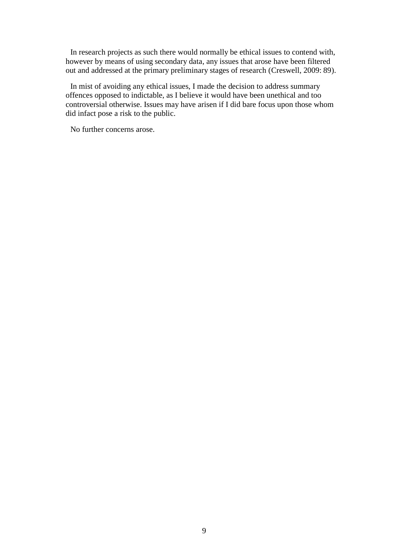In research projects as such there would normally be ethical issues to contend with, however by means of using secondary data, any issues that arose have been filtered out and addressed at the primary preliminary stages of research (Creswell, 2009: 89).

In mist of avoiding any ethical issues, I made the decision to address summary offences opposed to indictable, as I believe it would have been unethical and too controversial otherwise. Issues may have arisen if I did bare focus upon those whom did infact pose a risk to the public.

No further concerns arose.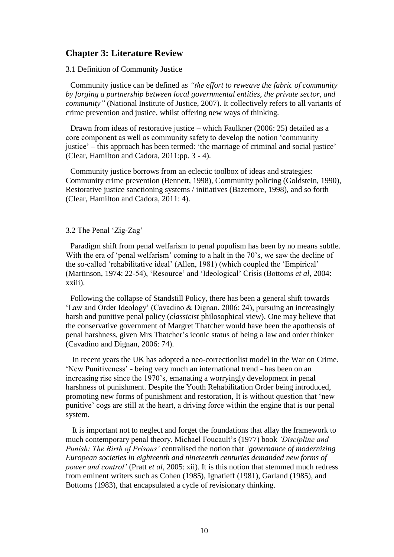#### **Chapter 3: Literature Review**

3.1 Definition of Community Justice

Community justice can be defined as *"the effort to reweave the fabric of community by forging a partnership between local governmental entities, the private sector, and community"* (National Institute of Justice, 2007). It collectively refers to all variants of crime prevention and justice, whilst offering new ways of thinking.

Drawn from ideas of restorative justice – which Faulkner (2006: 25) detailed as a core component as well as community safety to develop the notion 'community justice' – this approach has been termed: 'the marriage of criminal and social justice' (Clear, Hamilton and Cadora, 2011:pp. 3 - 4).

Community justice borrows from an eclectic toolbox of ideas and strategies: Community crime prevention (Bennett, 1998), Community policing (Goldstein, 1990), Restorative justice sanctioning systems / initiatives (Bazemore, 1998), and so forth (Clear, Hamilton and Cadora, 2011: 4).

#### 3.2 The Penal 'Zig-Zag'

Paradigm shift from penal welfarism to penal populism has been by no means subtle. With the era of 'penal welfarism' coming to a halt in the 70's, we saw the decline of the so-called 'rehabilitative ideal' (Allen, 1981) (which coupled the 'Empirical' (Martinson, 1974: 22-54), 'Resource' and 'Ideological' Crisis (Bottoms *et al,* 2004: xxiii).

Following the collapse of Standstill Policy, there has been a general shift towards 'Law and Order Ideology' (Cavadino & Dignan, 2006: 24), pursuing an increasingly harsh and punitive penal policy (*classicist* philosophical view). One may believe that the conservative government of Margret Thatcher would have been the apotheosis of penal harshness, given Mrs Thatcher's iconic status of being a law and order thinker (Cavadino and Dignan, 2006: 74).

In recent years the UK has adopted a neo-correctionlist model in the War on Crime. 'New Punitiveness' - being very much an international trend - has been on an increasing rise since the 1970's, emanating a worryingly development in penal harshness of punishment. Despite the Youth Rehabilitation Order being introduced, promoting new forms of punishment and restoration, It is without question that 'new punitive' cogs are still at the heart, a driving force within the engine that is our penal system.

It is important not to neglect and forget the foundations that allay the framework to much contemporary penal theory. Michael Foucault's (1977) book *'Discipline and Punish: The Birth of Prisons'* centralised the notion that *'governance of modernizing European societies in eighteenth and nineteenth centuries demanded new forms of power and control'* (Pratt *et al*, 2005: xii). It is this notion that stemmed much redress from eminent writers such as Cohen (1985), Ignatieff (1981), Garland (1985), and Bottoms (1983), that encapsulated a cycle of revisionary thinking.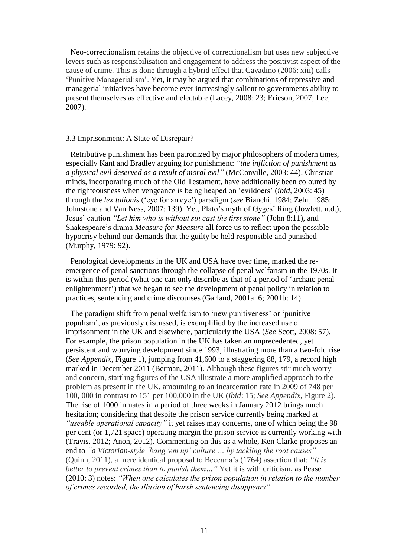Neo-correctionalism retains the objective of correctionalism but uses new subjective levers such as responsibilisation and engagement to address the positivist aspect of the cause of crime. This is done through a hybrid effect that Cavadino (2006: xiii) calls 'Punitive Managerialism'. Yet, it may be argued that combinations of repressive and managerial initiatives have become ever increasingly salient to governments ability to present themselves as effective and electable (Lacey, 2008: 23; Ericson, 2007; Lee, 2007).

#### 3.3 Imprisonment: A State of Disrepair?

Retributive punishment has been patronized by major philosophers of modern times, especially Kant and Bradley arguing for punishment: *"the infliction of punishment as a physical evil deserved as a result of moral evil"* (McConville, 2003: 44). Christian minds, incorporating much of the Old Testament, have additionally been coloured by the righteousness when vengeance is being heaped on 'evildoers' (*ibid*, 2003: 45) through the *lex talionis* ('eye for an eye') paradigm (*see* Bianchi, 1984; Zehr, 1985; Johnstone and Van Ness, 2007: 139). Yet, Plato's myth of Gyges' Ring (Jowlett, n.d.), Jesus' caution *"Let him who is without sin cast the first stone"* (John 8:11), and Shakespeare's drama *Measure for Measure* all force us to reflect upon the possible hypocrisy behind our demands that the guilty be held responsible and punished (Murphy, 1979: 92).

Penological developments in the UK and USA have over time, marked the reemergence of penal sanctions through the collapse of penal welfarism in the 1970s. It is within this period (what one can only describe as that of a period of 'archaic penal enlightenment') that we began to see the development of penal policy in relation to practices, sentencing and crime discourses (Garland, 2001a: 6; 2001b: 14).

The paradigm shift from penal welfarism to 'new punitiveness' or 'punitive populism', as previously discussed, is exemplified by the increased use of imprisonment in the UK and elsewhere, particularly the USA (*See* Scott, 2008: 57). For example, the prison population in the UK has taken an unprecedented, yet persistent and worrying development since 1993, illustrating more than a two-fold rise (*See Appendix*, Figure 1), jumping from 41,600 to a staggering 88, 179, a record high marked in December 2011 (Berman, 2011). Although these figures stir much worry and concern, startling figures of the USA illustrate a more amplified approach to the problem as present in the UK, amounting to an incarceration rate in 2009 of 748 per 100, 000 in contrast to 151 per 100,000 in the UK (*ibid*: 15; *See Appendix*, Figure 2). The rise of 1000 inmates in a period of three weeks in January 2012 brings much hesitation; considering that despite the prison service currently being marked at *"useable operational capacity"* it yet raises may concerns, one of which being the 98 per cent (or 1,721 space) operating margin the prison service is currently working with (Travis, 2012; Anon, 2012). Commenting on this as a whole, Ken Clarke proposes an end to *"a Victorian-style 'bang 'em up' culture … by tackling the root causes"* (Quinn, 2011), a mere identical proposal to Beccaria's (1764) assertion that: *"It is better to prevent crimes than to punish them…"* Yet it is with criticism, as Pease (2010: 3) notes: *"When one calculates the prison population in relation to the number of crimes recorded, the illusion of harsh sentencing disappears".*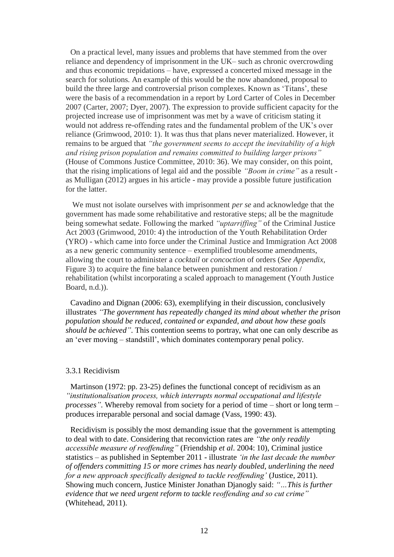On a practical level, many issues and problems that have stemmed from the over reliance and dependency of imprisonment in the UK– such as chronic overcrowding and thus economic trepidations – have, expressed a concerted mixed message in the search for solutions. An example of this would be the now abandoned, proposal to build the three large and controversial prison complexes. Known as 'Titans', these were the basis of a recommendation in a report by Lord Carter of Coles in December 2007 (Carter, 2007; Dyer, 2007). The expression to provide sufficient capacity for the projected increase use of imprisonment was met by a wave of criticism stating it would not address re-offending rates and the fundamental problem of the UK's over reliance (Grimwood, 2010: 1). It was thus that plans never materialized. However, it remains to be argued that *"the government seems to accept the inevitability of a high and rising prison population and remains committed to building larger prisons"* (House of Commons Justice Committee, 2010: 36). We may consider, on this point, that the rising implications of legal aid and the possible *"Boom in crime"* as a result as Mulligan (2012) argues in his article - may provide a possible future justification for the latter.

We must not isolate ourselves with imprisonment *per se* and acknowledge that the government has made some rehabilitative and restorative steps; all be the magnitude being somewhat sedate. Following the marked *"uptarriffing"* of the Criminal Justice Act 2003 (Grimwood, 2010: 4) the introduction of the Youth Rehabilitation Order (YRO) - which came into force under the Criminal Justice and Immigration Act 2008 as a new generic community sentence – exemplified troublesome amendments, allowing the court to administer a *cocktail* or *concoction* of orders (*See Appendix*, Figure 3) to acquire the fine balance between punishment and restoration / rehabilitation (whilst incorporating a scaled approach to management (Youth Justice Board, n.d.)).

Cavadino and Dignan (2006: 63), exemplifying in their discussion, conclusively illustrates *"The government has repeatedly changed its mind about whether the prison population should be reduced, contained or expanded, and about how these goals should be achieved"*. This contention seems to portray, what one can only describe as an 'ever moving – standstill', which dominates contemporary penal policy.

#### 3.3.1 Recidivism

Martinson (1972: pp. 23-25) defines the functional concept of recidivism as an *"institutionalisation process, which interrupts normal occupational and lifestyle processes"*. Whereby removal from society for a period of time – short or long term – produces irreparable personal and social damage (Vass, 1990: 43).

Recidivism is possibly the most demanding issue that the government is attempting to deal with to date. Considering that reconviction rates are *"the only readily accessible measure of reoffending"* (Friendship *et al*. 2004: 10), Criminal justice statistics – as published in September 2011 - illustrate *'in the last decade the number of offenders committing 15 or more crimes has nearly doubled, underlining the need for a new approach specifically designed to tackle reoffending'* (Justice, 2011). Showing much concern, Justice Minister Jonathan Djanogly said: *"…This is further evidence that we need urgent reform to tackle reoffending and so cut crime"*  (Whitehead, 2011).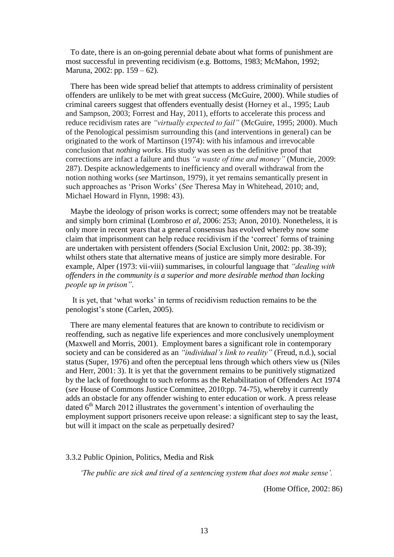To date, there is an on-going perennial debate about what forms of punishment are most successful in preventing recidivism (e.g. Bottoms, 1983; McMahon, 1992; Maruna, 2002: pp. 159 – 62).

There has been wide spread belief that attempts to address criminality of persistent offenders are unlikely to be met with great success (McGuire, 2000). While studies of criminal careers suggest that offenders eventually desist (Horney et al., 1995; Laub and Sampson, 2003; Forrest and Hay, 2011), efforts to accelerate this process and reduce recidivism rates are "virtually expected to fail" (McGuire, 1995; 2000). Much of the Penological pessimism surrounding this (and interventions in general) can be originated to the work of Martinson (1974): with his infamous and irrevocable conclusion that *nothing works*. His study was seen as the definitive proof that corrections are infact a failure and thus *"a waste of time and money"* (Muncie, 2009: 287). Despite acknowledgements to inefficiency and overall withdrawal from the notion nothing works (*see* Martinson, 1979), it yet remains semantically present in such approaches as 'Prison Works' (*See* Theresa May in Whitehead, 2010; and, Michael Howard in Flynn, 1998: 43).

Maybe the ideology of prison works is correct; some offenders may not be treatable and simply born criminal (Lombroso *et al*, 2006: 253; Anon, 2010). Nonetheless, it is only more in recent years that a general consensus has evolved whereby now some claim that imprisonment can help reduce recidivism if the 'correct' forms of training are undertaken with persistent offenders (Social Exclusion Unit, 2002: pp. 38-39); whilst others state that alternative means of justice are simply more desirable. For example, Alper (1973: vii-viii) summarises, in colourful language that *"dealing with offenders in the community is a superior and more desirable method than locking people up in prison"*.

It is yet, that 'what works' in terms of recidivism reduction remains to be the penologist's stone (Carlen, 2005).

There are many elemental features that are known to contribute to recidivism or reoffending, such as negative life experiences and more conclusively unemployment (Maxwell and Morris, 2001). Employment bares a significant role in contemporary society and can be considered as an *"individual's link to reality"* (Freud, n.d.), social status (Super, 1976) and often the perceptual lens through which others view us (Niles and Herr, 2001: 3). It is yet that the government remains to be punitively stigmatized by the lack of forethought to such reforms as the Rehabilitation of Offenders Act 1974 (*see* House of Commons Justice Committee, 2010:pp. 74-75), whereby it currently adds an obstacle for any offender wishing to enter education or work. A press release dated  $6<sup>th</sup>$  March 2012 illustrates the government's intention of overhauling the employment support prisoners receive upon release: a significant step to say the least, but will it impact on the scale as perpetually desired?

3.3.2 Public Opinion, Politics, Media and Risk

*'The public are sick and tired of a sentencing system that does not make sense'.*

(Home Office, 2002: 86)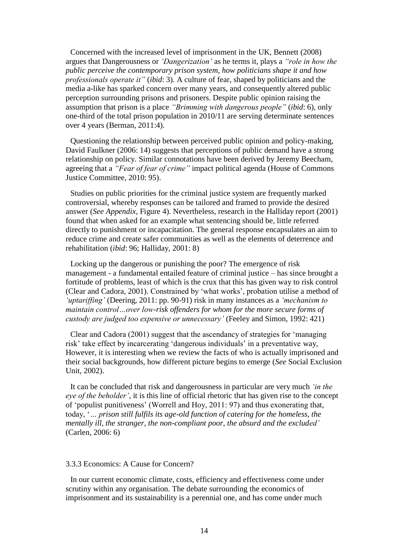Concerned with the increased level of imprisonment in the UK, Bennett (2008) argues that Dangerousness or *'Dangerization'* as he terms it, plays a *"role in how the public perceive the contemporary prison system, how politicians shape it and how professionals operate it"* (*ibid*: 3). A culture of fear, shaped by politicians and the media a-like has sparked concern over many years, and consequently altered public perception surrounding prisons and prisoners. Despite public opinion raising the assumption that prison is a place *"Brimming with dangerous people"* (*ibid*: 6), only one-third of the total prison population in 2010/11 are serving determinate sentences over 4 years (Berman, 2011:4).

Questioning the relationship between perceived public opinion and policy-making, David Faulkner (2006: 14) suggests that perceptions of public demand have a strong relationship on policy. Similar connotations have been derived by Jeremy Beecham, agreeing that a *"Fear of fear of crime"* impact political agenda (House of Commons Justice Committee, 2010: 95).

Studies on public priorities for the criminal justice system are frequently marked controversial, whereby responses can be tailored and framed to provide the desired answer (*See Appendix*, Figure 4). Nevertheless, research in the Halliday report (2001) found that when asked for an example what sentencing should be, little referred directly to punishment or incapacitation. The general response encapsulates an aim to reduce crime and create safer communities as well as the elements of deterrence and rehabilitation (*ibid*: 96; Halliday, 2001: 8)

Locking up the dangerous or punishing the poor? The emergence of risk management - a fundamental entailed feature of criminal justice – has since brought a fortitude of problems, least of which is the crux that this has given way to risk control (Clear and Cadora, 2001). Constrained by 'what works', probation utilise a method of *'uptariffing'* (Deering, 2011: pp. 90-91) risk in many instances as a *'mechanism to maintain control…over low-risk offenders for whom for the more secure forms of custody are judged too expensive or unnecessary'* (Feeley and Simon, 1992: 421)

Clear and Cadora (2001) suggest that the ascendancy of strategies for 'managing risk' take effect by incarcerating 'dangerous individuals' in a preventative way, However, it is interesting when we review the facts of who is actually imprisoned and their social backgrounds, how different picture begins to emerge (*See* Social Exclusion Unit, 2002).

It can be concluded that risk and dangerousness in particular are very much *'in the eye of the beholder'*, it is this line of official rhetoric that has given rise to the concept of 'populist punitiveness' (Worrell and Hoy, 2011: 97) and thus exonerating that, today, '*… prison still fulfils its age-old function of catering for the homeless, the mentally ill, the stranger, the non-compliant poor, the absurd and the excluded'* (Carlen, 2006: 6)

#### 3.3.3 Economics: A Cause for Concern?

In our current economic climate, costs, efficiency and effectiveness come under scrutiny within any organisation. The debate surrounding the economics of imprisonment and its sustainability is a perennial one, and has come under much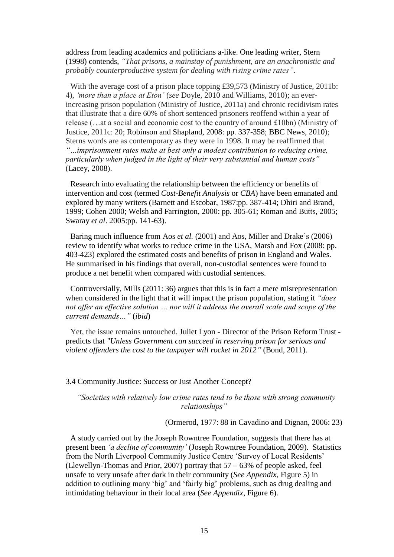address from leading academics and politicians a-like. One leading writer, Stern (1998) contends, *"That prisons, a mainstay of punishment, are an anachronistic and probably counterproductive system for dealing with rising crime rates"*.

With the average cost of a prison place topping £39,573 (Ministry of Justice, 2011b: 4), *'more than a place at Eton'* (*see* Doyle, 2010 and Williams, 2010); an everincreasing prison population (Ministry of Justice, 2011a) and chronic recidivism rates that illustrate that a dire 60% of short sentenced prisoners reoffend within a year of release (…at a social and economic cost to the country of around £10bn) (Ministry of Justice, 2011c: 20; Robinson and Shapland, 2008: pp. 337-358; BBC News, 2010); Sterns words are as contemporary as they were in 1998. It may be reaffirmed that *"…imprisonment rates make at best only a modest contribution to reducing crime, particularly when judged in the light of their very substantial and human costs"* (Lacey, 2008).

Research into evaluating the relationship between the efficiency or benefits of intervention and cost (termed *Cost-Benefit Analysis* or *CBA*) have been emanated and explored by many writers (Barnett and Escobar, 1987:pp. 387-414; Dhiri and Brand, 1999; Cohen 2000; Welsh and Farrington, 2000: pp. 305-61; Roman and Butts, 2005; Swaray *et al*. 2005:pp. 141-63).

Baring much influence from Aos *et al.* (2001) and Aos, Miller and Drake's (2006) review to identify what works to reduce crime in the USA, Marsh and Fox (2008: pp. 403-423) explored the estimated costs and benefits of prison in England and Wales. He summarised in his findings that overall, non-custodial sentences were found to produce a net benefit when compared with custodial sentences.

Controversially, Mills (2011: 36) argues that this is in fact a mere misrepresentation when considered in the light that it will impact the prison population, stating it *"does not offer an effective solution … nor will it address the overall scale and scope of the current demands…"* (*ibid*)

Yet, the issue remains untouched. Juliet Lyon - Director of the Prison Reform Trust predicts that *"Unless Government can succeed in reserving prison for serious and violent offenders the cost to the taxpayer will rocket in 2012"* (Bond, 2011).

#### 3.4 Community Justice: Success or Just Another Concept?

*"Societies with relatively low crime rates tend to be those with strong community relationships"*

(Ormerod, 1977: 88 in Cavadino and Dignan, 2006: 23)

A study carried out by the Joseph Rowntree Foundation, suggests that there has at present been *'a decline of community'* (Joseph Rowntree Foundation, 2009). Statistics from the North Liverpool Community Justice Centre 'Survey of Local Residents' (Llewellyn-Thomas and Prior, 2007) portray that 57 – 63% of people asked, feel unsafe to very unsafe after dark in their community (*See Appendix*, Figure 5) in addition to outlining many 'big' and 'fairly big' problems, such as drug dealing and intimidating behaviour in their local area (*See Appendix*, Figure 6).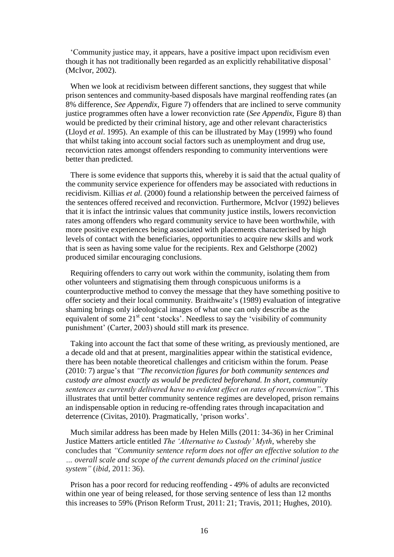'Community justice may, it appears, have a positive impact upon recidivism even though it has not traditionally been regarded as an explicitly rehabilitative disposal' (McIvor, 2002).

When we look at recidivism between different sanctions, they suggest that while prison sentences and community-based disposals have marginal reoffending rates (an 8% difference, *See Appendix*, Figure 7) offenders that are inclined to serve community justice programmes often have a lower reconviction rate (*See Appendix*, Figure 8) than would be predicted by their criminal history, age and other relevant characteristics (Lloyd *et al*. 1995). An example of this can be illustrated by May (1999) who found that whilst taking into account social factors such as unemployment and drug use, reconviction rates amongst offenders responding to community interventions were better than predicted.

There is some evidence that supports this, whereby it is said that the actual quality of the community service experience for offenders may be associated with reductions in recidivism. Killias *et al.* (2000) found a relationship between the perceived fairness of the sentences offered received and reconviction. Furthermore, McIvor (1992) believes that it is infact the intrinsic values that community justice instils, lowers reconviction rates among offenders who regard community service to have been worthwhile, with more positive experiences being associated with placements characterised by high levels of contact with the beneficiaries, opportunities to acquire new skills and work that is seen as having some value for the recipients. Rex and Gelsthorpe (2002) produced similar encouraging conclusions.

Requiring offenders to carry out work within the community, isolating them from other volunteers and stigmatising them through conspicuous uniforms is a counterproductive method to convey the message that they have something positive to offer society and their local community. Braithwaite's (1989) evaluation of integrative shaming brings only ideological images of what one can only describe as the equivalent of some 21<sup>st</sup> cent 'stocks'. Needless to say the 'visibility of community punishment' (Carter, 2003) should still mark its presence.

Taking into account the fact that some of these writing, as previously mentioned, are a decade old and that at present, marginalities appear within the statistical evidence, there has been notable theoretical challenges and criticism within the forum. Pease (2010: 7) argue's that *"The reconviction figures for both community sentences and custody are almost exactly as would be predicted beforehand. In short, community sentences as currently delivered have no evident effect on rates of reconviction"*. This illustrates that until better community sentence regimes are developed, prison remains an indispensable option in reducing re-offending rates through incapacitation and deterrence (Civitas, 2010). Pragmatically, 'prison works'.

Much similar address has been made by Helen Mills (2011: 34-36) in her Criminal Justice Matters article entitled *The 'Alternative to Custody' Myth*, whereby she concludes that *"Community sentence reform does not offer an effective solution to the … overall scale and scope of the current demands placed on the criminal justice system"* (*ibid*, 2011: 36).

Prison has a poor record for reducing reoffending - 49% of adults are reconvicted within one year of being released, for those serving sentence of less than 12 months this increases to 59% (Prison Reform Trust, 2011: 21; Travis, 2011; Hughes, 2010).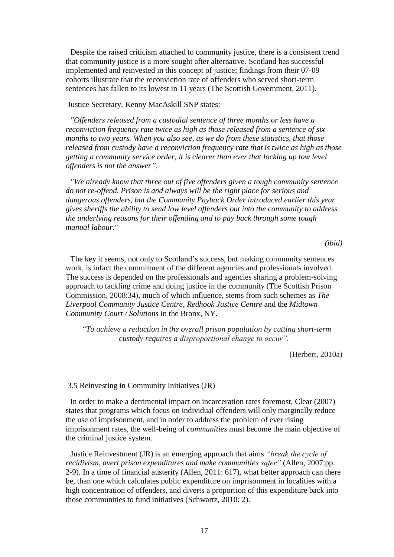Despite the raised criticism attached to community justice, there is a consistent trend that community justice is a more sought after alternative. Scotland has successful implemented and reinvested in this concept of justice; findings from their 07-09 cohorts illustrate that the reconviction rate of offenders who served short-term sentences has fallen to its lowest in 11 years (The Scottish Government, 2011).

Justice Secretary, Kenny MacAskill SNP states:

*"Offenders released from a custodial sentence of three months or less have a reconviction frequency rate twice as high as those released from a sentence of six months to two years. When you also see, as we do from these statistics, that those released from custody have a reconviction frequency rate that is twice as high as those getting a community service order, it is clearer than ever that locking up low level offenders is not the answer".*

*"We already know that three out of five offenders given a tough community sentence do not re-offend. Prison is and always will be the right place for serious and dangerous offenders, but the Community Payback Order introduced earlier this year gives sheriffs the ability to send low level offenders out into the community to address the underlying reasons for their offending and to pay back through some tough manual labour."*

*(ibid)*

The key it seems, not only to Scotland's success, but making community sentences work, is infact the commitment of the different agencies and professionals involved. The success is depended on the professionals and agencies sharing a problem-solving approach to tackling crime and doing justice in the community (The Scottish Prison Commission, 2008:34), much of which influence, stems from such schemes as *The Liverpool Community Justice Centre*, *Redhook Justice Centre* and the *Midtown Community Court / Solutions* in the Bronx, NY.

*"To achieve a reduction in the overall prison population by cutting short-term custody requires a disproportional change to occur".*

(Herbert, 2010a)

#### 3.5 Reinvesting in Community Initiatives (JR)

In order to make a detrimental impact on incarceration rates foremost, Clear (2007) states that programs which focus on individual offenders will only marginally reduce the use of imprisonment, and in order to address the problem of ever rising imprisonment rates, the well-being of *communities* must become the main objective of the criminal justice system.

Justice Reinvestment (JR) is an emerging approach that aims *"break the cycle of recidivism, avert prison expenditures and make communities safer"* (Allen, 2007:pp. 2-9). In a time of financial austerity (Allen, 2011: 617), what better approach can there be, than one which calculates public expenditure on imprisonment in localities with a high concentration of offenders, and diverts a proportion of this expenditure back into those communities to fund initiatives (Schwartz, 2010: 2).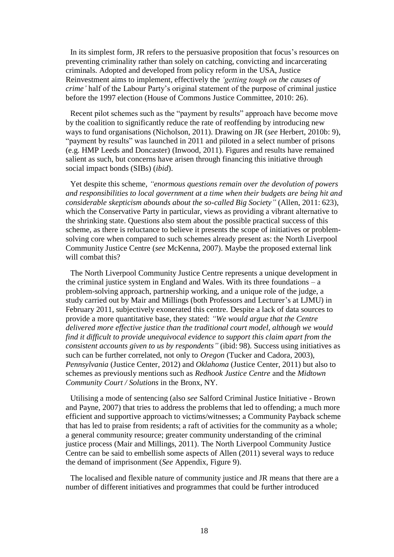In its simplest form, JR refers to the persuasive proposition that focus's resources on preventing criminality rather than solely on catching, convicting and incarcerating criminals. Adopted and developed from policy reform in the USA, Justice Reinvestment aims to implement, effectively the *'getting tough on the causes of crime'* half of the Labour Party's original statement of the purpose of criminal justice before the 1997 election (House of Commons Justice Committee, 2010: 26).

Recent pilot schemes such as the "payment by results" approach have become move by the coalition to significantly reduce the rate of reoffending by introducing new ways to fund organisations (Nicholson, 2011). Drawing on JR (*see* Herbert, 2010b: 9), "payment by results" was launched in 2011 and piloted in a select number of prisons (e.g. HMP Leeds and Doncaster) (Inwood, 2011). Figures and results have remained salient as such, but concerns have arisen through financing this initiative through social impact bonds (SIBs) (*ibid*).

Yet despite this scheme, *"enormous questions remain over the devolution of powers and responsibilities to local government at a time when their budgets are being hit and considerable skepticism abounds about the so-called Big Society"* (Allen, 2011: 623), which the Conservative Party in particular, views as providing a vibrant alternative to the shrinking state. Questions also stem about the possible practical success of this scheme, as there is reluctance to believe it presents the scope of initiatives or problemsolving core when compared to such schemes already present as: the North Liverpool Community Justice Centre (*see* McKenna, 2007). Maybe the proposed external link will combat this?

The North Liverpool Community Justice Centre represents a unique development in the criminal justice system in England and Wales. With its three foundations  $- a$ problem-solving approach, partnership working, and a unique role of the judge, a study carried out by Mair and Millings (both Professors and Lecturer's at LJMU) in February 2011, subjectively exonerated this centre. Despite a lack of data sources to provide a more quantitative base, they stated: *"We would argue that the Centre delivered more effective justice than the traditional court model, although we would find it difficult to provide unequivocal evidence to support this claim apart from the consistent accounts given to us by respondents"* (ibid: 98). Success using initiatives as such can be further correlated, not only to *Oregon* (Tucker and Cadora, 2003), *Pennsylvania* (Justice Center, 2012) and *Oklahoma* (Justice Center, 2011) but also to schemes as previously mentions such as *Redhook Justice Centre* and the *Midtown Community Court / Solutions* in the Bronx, NY.

Utilising a mode of sentencing (also *see* Salford Criminal Justice Initiative - Brown and Payne, 2007) that tries to address the problems that led to offending; a much more efficient and supportive approach to victims/witnesses; a Community Payback scheme that has led to praise from residents; a raft of activities for the community as a whole; a general community resource; greater community understanding of the criminal justice process (Mair and Millings, 2011). The North Liverpool Community Justice Centre can be said to embellish some aspects of Allen (2011) several ways to reduce the demand of imprisonment (*See* Appendix, Figure 9).

The localised and flexible nature of community justice and JR means that there are a number of different initiatives and programmes that could be further introduced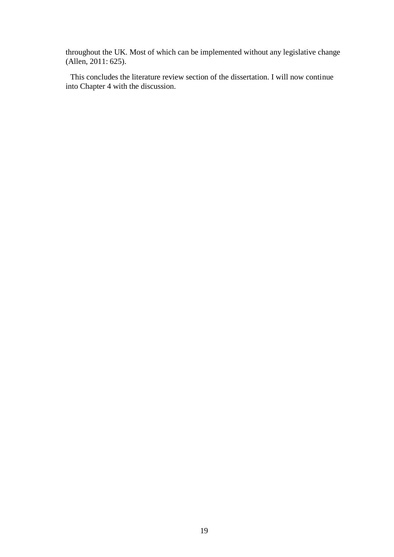throughout the UK. Most of which can be implemented without any legislative change (Allen, 2011: 625).

This concludes the literature review section of the dissertation. I will now continue into Chapter 4 with the discussion.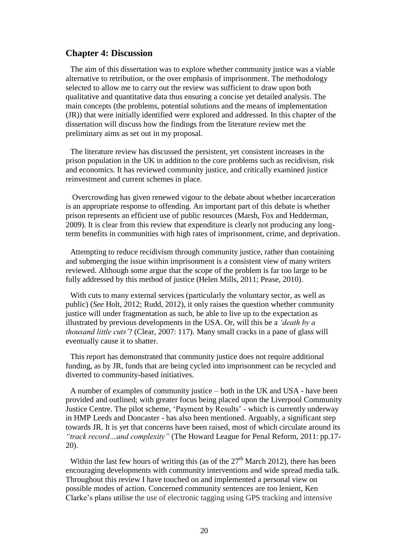#### **Chapter 4: Discussion**

The aim of this dissertation was to explore whether community justice was a viable alternative to retribution, or the over emphasis of imprisonment. The methodology selected to allow me to carry out the review was sufficient to draw upon both qualitative and quantitative data thus ensuring a concise yet detailed analysis. The main concepts (the problems, potential solutions and the means of implementation (JR)) that were initially identified were explored and addressed. In this chapter of the dissertation will discuss how the findings from the literature review met the preliminary aims as set out in my proposal*.*

The literature review has discussed the persistent, yet consistent increases in the prison population in the UK in addition to the core problems such as recidivism, risk and economics. It has reviewed community justice, and critically examined justice reinvestment and current schemes in place.

Overcrowding has given renewed vigour to the debate about whether incarceration is an appropriate response to offending. An important part of this debate is whether prison represents an efficient use of public resources (Marsh, Fox and Hedderman, 2009). It is clear from this review that expenditure is clearly not producing any longterm benefits in communities with high rates of imprisonment, crime, and deprivation.

Attempting to reduce recidivism through community justice, rather than containing and submerging the issue within imprisonment is a consistent view of many writers reviewed. Although some argue that the scope of the problem is far too large to be fully addressed by this method of justice (Helen Mills, 2011; Pease, 2010).

With cuts to many external services (particularly the voluntary sector, as well as public) (*See* Holt, 2012; Rudd, 2012), it only raises the question whether community justice will under fragmentation as such, be able to live up to the expectation as illustrated by previous developments in the USA. Or, will this be a *'death by a thousand little cuts'*? (Clear, 2007: 117). Many small cracks in a pane of glass will eventually cause it to shatter.

This report has demonstrated that community justice does not require additional funding, as by JR, funds that are being cycled into imprisonment can be recycled and diverted to community-based initiatives.

A number of examples of community justice – both in the UK and USA - have been provided and outlined; with greater focus being placed upon the Liverpool Community Justice Centre. The pilot scheme, 'Payment by Results' - which is currently underway in HMP Leeds and Doncaster - has also been mentioned. Arguably, a significant step towards JR. It is yet that concerns have been raised, most of which circulate around its *"track record…and complexity"* (The Howard League for Penal Reform, 2011: pp.17- 20).

Within the last few hours of writing this (as of the  $27<sup>th</sup>$  March 2012), there has been encouraging developments with community interventions and wide spread media talk. Throughout this review I have touched on and implemented a personal view on possible modes of action. Concerned community sentences are too lenient, Ken Clarke's plans utilise the use of electronic tagging using GPS tracking and intensive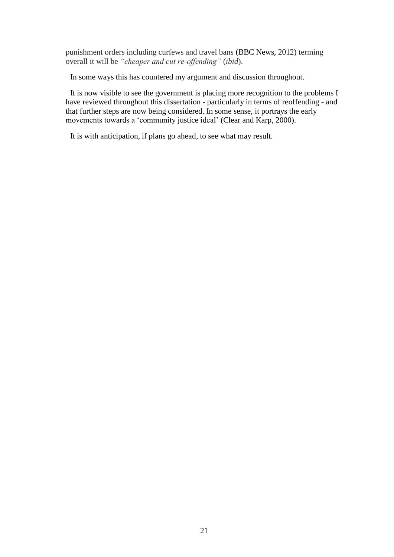punishment orders including curfews and travel bans (BBC News, 2012) terming overall it will be *"cheaper and cut re-offending"* (*ibid*).

In some ways this has countered my argument and discussion throughout.

It is now visible to see the government is placing more recognition to the problems I have reviewed throughout this dissertation - particularly in terms of reoffending - and that further steps are now being considered. In some sense, it portrays the early movements towards a 'community justice ideal' (Clear and Karp, 2000).

It is with anticipation, if plans go ahead, to see what may result.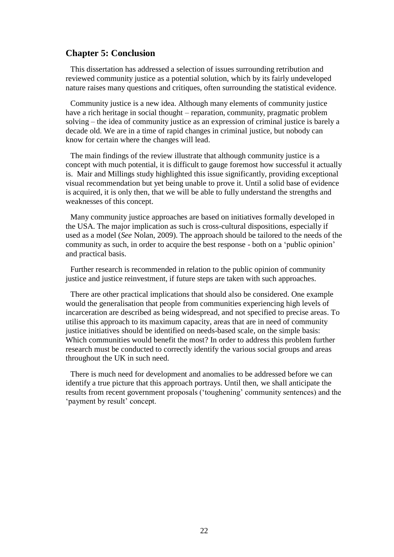#### **Chapter 5: Conclusion**

This dissertation has addressed a selection of issues surrounding retribution and reviewed community justice as a potential solution, which by its fairly undeveloped nature raises many questions and critiques, often surrounding the statistical evidence.

Community justice is a new idea. Although many elements of community justice have a rich heritage in social thought – reparation, community, pragmatic problem solving – the idea of community justice as an expression of criminal justice is barely a decade old. We are in a time of rapid changes in criminal justice, but nobody can know for certain where the changes will lead.

The main findings of the review illustrate that although community justice is a concept with much potential, it is difficult to gauge foremost how successful it actually is. Mair and Millings study highlighted this issue significantly, providing exceptional visual recommendation but yet being unable to prove it. Until a solid base of evidence is acquired, it is only then, that we will be able to fully understand the strengths and weaknesses of this concept.

Many community justice approaches are based on initiatives formally developed in the USA. The major implication as such is cross-cultural dispositions, especially if used as a model (*See* Nolan, 2009). The approach should be tailored to the needs of the community as such, in order to acquire the best response - both on a 'public opinion' and practical basis.

Further research is recommended in relation to the public opinion of community justice and justice reinvestment, if future steps are taken with such approaches.

There are other practical implications that should also be considered. One example would the generalisation that people from communities experiencing high levels of incarceration are described as being widespread, and not specified to precise areas. To utilise this approach to its maximum capacity, areas that are in need of community justice initiatives should be identified on needs-based scale, on the simple basis: Which communities would benefit the most? In order to address this problem further research must be conducted to correctly identify the various social groups and areas throughout the UK in such need.

There is much need for development and anomalies to be addressed before we can identify a true picture that this approach portrays. Until then, we shall anticipate the results from recent government proposals ('toughening' community sentences) and the 'payment by result' concept.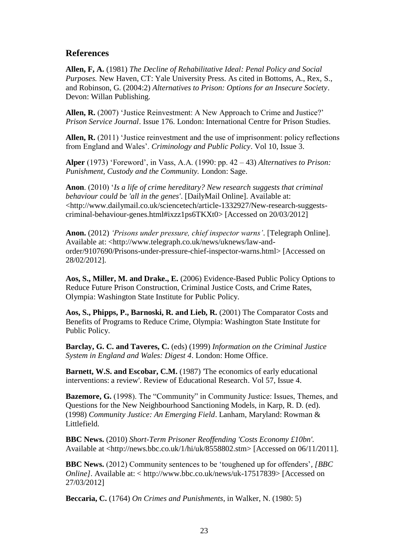#### **References**

**Allen, F, A.** (1981) *The Decline of Rehabilitative Ideal: Penal Policy and Social Purposes.* New Haven, CT: Yale University Press. As cited in Bottoms, A., Rex, S., and Robinson, G. (2004:2) *Alternatives to Prison: Options for an Insecure Society*. Devon: Willan Publishing.

**Allen, R.** (2007) 'Justice Reinvestment: A New Approach to Crime and Justice?' *Prison Service Journal*. Issue 176. London: International Centre for Prison Studies.

**Allen, R.** (2011) 'Justice reinvestment and the use of imprisonment: policy reflections from England and Wales'. *Criminology and Public Policy*. Vol 10, Issue 3.

**Alper** (1973) 'Foreword', in Vass, A.A. (1990: pp. 42 – 43) *Alternatives to Prison: Punishment, Custody and the Community.* London: Sage.

**Anon**. (2010) '*Is a life of crime hereditary? New research suggests that criminal behaviour could be 'all in the genes'*. [DailyMail Online]. Available at: <http://www.dailymail.co.uk/sciencetech/article-1332927/New-research-suggestscriminal-behaviour-genes.html#ixzz1ps6TKXt0> [Accessed on 20/03/2012]

**Anon.** (2012) *'Prisons under pressure, chief inspector warns'*. [Telegraph Online]. Available at: <http://www.telegraph.co.uk/news/uknews/law-andorder/9107690/Prisons-under-pressure-chief-inspector-warns.html> [Accessed on 28/02/2012].

**Aos, S., Miller, M. and Drake., E.** (2006) Evidence-Based Public Policy Options to Reduce Future Prison Construction, Criminal Justice Costs, and Crime Rates, Olympia: Washington State Institute for Public Policy.

**Aos, S., Phipps, P., Barnoski, R. and Lieb, R.** (2001) The Comparator Costs and Benefits of Programs to Reduce Crime, Olympia: Washington State Institute for Public Policy.

**Barclay, G. C. and Taveres, C.** (eds) (1999) *Information on the Criminal Justice System in England and Wales: Digest 4*. London: Home Office.

**Barnett, W.S. and Escobar, C.M.** (1987) 'The economics of early educational interventions: a review'. Review of Educational Research. Vol 57, Issue 4.

**Bazemore, G.** (1998). The "Community" in Community Justice: Issues, Themes, and Questions for the New Neighbourhood Sanctioning Models, in Karp, R. D. (ed). (1998) *Community Justice: An Emerging Field*. Lanham, Maryland: Rowman & Littlefield.

**BBC News.** (2010) *Short-Term Prisoner Reoffending 'Costs Economy £10bn'.*  Available at <http://news.bbc.co.uk/1/hi/uk/8558802.stm> [Accessed on 06/11/2011].

**BBC News.** (2012) Community sentences to be 'toughened up for offenders'*, [BBC Online]*. Available at: < http://www.bbc.co.uk/news/uk-17517839> [Accessed on 27/03/2012]

**Beccaria, C.** (1764) *On Crimes and Punishments*, in Walker, N. (1980: 5)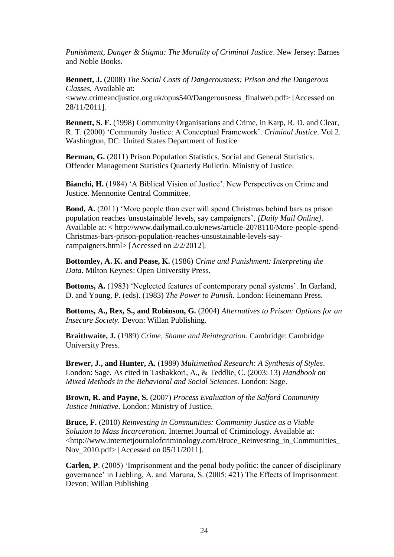*Punishment, Danger & Stigma: The Morality of Criminal Justice*. New Jersey: Barnes and Noble Books.

**Bennett, J.** (2008) *The Social Costs of Dangerousness: Prison and the Dangerous Classes.* Available at:

<www.crimeandjustice.org.uk/opus540/Dangerousness\_finalweb.pdf> [Accessed on 28/11/2011].

**Bennett, S. F.** (1998) Community Organisations and Crime, in Karp, R. D. and Clear, R. T. (2000) 'Community Justice: A Conceptual Framework'. *Criminal Justice*. Vol 2. Washington, DC: United States Department of Justice

**Berman, G.** (2011) Prison Population Statistics. Social and General Statistics. Offender Management Statistics Quarterly Bulletin. Ministry of Justice.

**Bianchi, H.** (1984) 'A Biblical Vision of Justice'. New Perspectives on Crime and Justice. Mennonite Central Committee.

**Bond, A.** (2011) 'More people than ever will spend Christmas behind bars as prison population reaches 'unsustainable' levels, say campaigners'*, [Daily Mail Online]*. Available at: < http://www.dailymail.co.uk/news/article-2078110/More-people-spend-Christmas-bars-prison-population-reaches-unsustainable-levels-saycampaigners.html> [Accessed on 2/2/2012].

**Bottomley, A. K. and Pease, K.** (1986) *Crime and Punishment: Interpreting the Data*. Milton Keynes: Open University Press.

**Bottoms, A.** (1983) 'Neglected features of contemporary penal systems'. In Garland, D. and Young, P. (eds). (1983) *The Power to Punish*. London: Heinemann Press.

**Bottoms, A., Rex, S., and Robinson, G.** (2004) *Alternatives to Prison: Options for an Insecure Society.* Devon: Willan Publishing.

**Braithwaite, J.** (1989) *Crime, Shame and Reintegration*. Cambridge: Cambridge University Press.

**Brewer, J., and Hunter, A.** (1989) *Multimethod Research: A Synthesis of Styles*. London: Sage. As cited in Tashakkori, A., & Teddlie, C. (2003: 13) *Handbook on Mixed Methods in the Behavioral and Social Sciences*. London: Sage.

**Brown, R. and Payne, S.** (2007) *Process Evaluation of the Salford Community Justice Initiative*. London: Ministry of Justice.

**Bruce, F.** (2010) *Reinvesting in Communities: Community Justice as a Viable Solution to Mass Incarceration*. Internet Journal of Criminology. Available at: <http://www.internetjournalofcriminology.com/Bruce\_Reinvesting\_in\_Communities\_ Nov 2010.pdf> [Accessed on 05/11/2011].

**Carlen, P**. (2005) 'Imprisonment and the penal body politic: the cancer of disciplinary governance' in Liebling, A. and Maruna, S. (2005: 421) The Effects of Imprisonment. Devon: Willan Publishing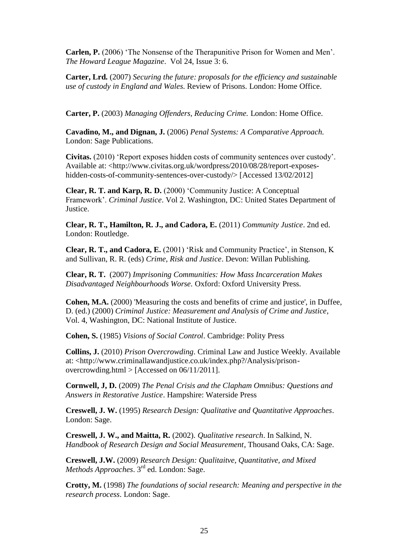**Carlen, P.** (2006) 'The Nonsense of the Therapunitive Prison for Women and Men'. *The Howard League Magazine*. Vol 24, Issue 3: 6.

**Carter, Lrd.** (2007) *Securing the future: proposals for the efficiency and sustainable use of custody in England and Wales*. Review of Prisons. London: Home Office.

**Carter, P.** (2003) *Managing Offenders, Reducing Crime.* London: Home Office.

**Cavadino, M., and Dignan, J.** (2006) *Penal Systems: A Comparative Approach.* London: Sage Publications.

**Civitas.** (2010) 'Report exposes hidden costs of community sentences over custody'. Available at: <http://www.civitas.org.uk/wordpress/2010/08/28/report-exposeshidden-costs-of-community-sentences-over-custody/>[Accessed 13/02/2012]

**Clear, R. T. and Karp, R. D.** (2000) 'Community Justice: A Conceptual Framework'. *Criminal Justice*. Vol 2. Washington, DC: United States Department of Justice.

**Clear, R. T., Hamilton, R. J., and Cadora, E.** (2011) *Community Justice*. 2nd ed. London: Routledge.

**Clear, R. T., and Cadora, E.** (2001) 'Risk and Community Practice', in Stenson, K and Sullivan, R. R. (eds) *Crime, Risk and Justice*. Devon: Willan Publishing.

**Clear, R. T.** (2007) *Imprisoning Communities: How Mass Incarceration Makes Disadvantaged Neighbourhoods Worse.* Oxford: Oxford University Press.

**Cohen, M.A.** (2000) 'Measuring the costs and benefits of crime and justice', in Duffee, D. (ed.) (2000) *Criminal Justice: Measurement and Analysis of Crime and Justice*, Vol. 4, Washington, DC: National Institute of Justice.

**Cohen, S.** (1985) *Visions of Social Control*. Cambridge: Polity Press

**Collins, J.** (2010) *Prison Overcrowding*. Criminal Law and Justice Weekly. Available at: <http://www.criminallawandjustice.co.uk/index.php?/Analysis/prisonovercrowding.html > [Accessed on 06/11/2011].

**Cornwell, J, D.** (2009) *The Penal Crisis and the Clapham Omnibus: Questions and Answers in Restorative Justice*. Hampshire: Waterside Press

**Creswell, J. W.** (1995) *Research Design: Qualitative and Quantitative Approaches*. London: Sage.

**Creswell, J. W., and Maitta, R.** (2002). *Qualitative research*. In Salkind, N. *Handbook of Research Design and Social Measurement*, Thousand Oaks, CA: Sage.

**Creswell, J.W.** (2009) *Research Design: Qualitaitve, Quantitative, and Mixed Methods Approaches*. 3rd ed. London: Sage.

**Crotty, M.** (1998) *The foundations of social research: Meaning and perspective in the research process*. London: Sage.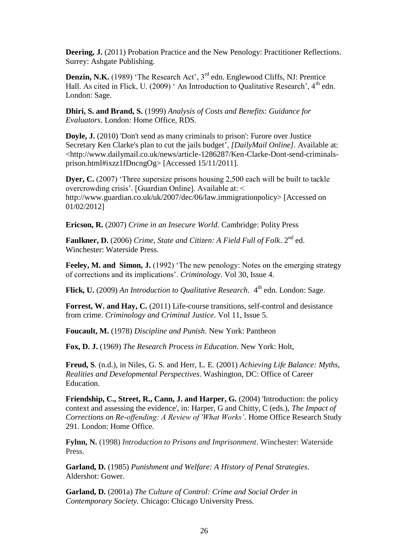**Deering, J.** (2011) Probation Practice and the New Penology: Practitioner Reflections. Surrey: Ashgate Publishing.

**Denzin, N.K.** (1989) 'The Research Act', 3<sup>rd</sup> edn. Englewood Cliffs, NJ: Prentice Hall. As cited in Flick, U. (2009)  $\degree$  An Introduction to Qualitative Research', 4<sup>th</sup> edn. London: Sage.

**Dhiri, S. and Brand, S.** (1999) *Analysis of Costs and Benefits: Guidance for Evaluators*. London: Home Office, RDS.

**Doyle, J.** (2010) 'Don't send as many criminals to prison': Furore over Justice Secretary Ken Clarke's plan to cut the jails budget', *[DailyMail Online].* Available at: <http://www.dailymail.co.uk/news/article-1286287/Ken-Clarke-Dont-send-criminalsprison.html#ixzz1fDncngOg> [Accessed 15/11/2011].

**Dyer, C.** (2007) 'Three supersize prisons housing 2,500 each will be built to tackle overcrowding crisis'. [Guardian Online]. Available at: < http://www.guardian.co.uk/uk/2007/dec/06/law.immigrationpolicy> [Accessed on 01/02/2012]

**Ericson, R.** (2007) *Crime in an Insecure World*. Cambridge: Polity Press

**Faulkner, D.** (2006) *Crime, State and Citizen: A Field Full of Folk*. 2nd ed. Winchester: Waterside Press.

**Feeley, M. and Simon, J.** (1992) 'The new penology: Notes on the emerging strategy of corrections and its implications'. *Criminology*. Vol 30, Issue 4.

**Flick, U.** (2009) An Introduction to Qualitative Research. 4<sup>th</sup> edn. London: Sage.

**Forrest, W. and Hay, C.** (2011) Life-course transitions, self-control and desistance from crime. *Criminology and Criminal Justice*. Vol 11, Issue 5.

**Foucault, M.** (1978) *Discipline and Punish*. New York: Pantheon

**Fox, D. J.** (1969) *The Research Process in Education*. New York: Holt,

**Freud, S**. (n.d.), in Niles, G. S. and Herr, L. E. (2001) *Achieving Life Balance: Myths, Realities and Developmental Perspectives*. Washington, DC: Office of Career Education.

**Friendship, C., Street, R., Cann, J. and Harper, G.** (2004) 'Introduction: the policy context and assessing the evidence', in: Harper, G and Chitty, C (eds.), *The Impact of Corrections on Re-offending: A Review of 'What Works'*. Home Office Research Study 291. London: Home Office.

**Fylnn, N.** (1998) *Introduction to Prisons and Imprisonment*. Winchester: Waterside Press.

**Garland, D.** (1985) *Punishment and Welfare: A History of Penal Strategies*. Aldershot: Gower.

**Garland, D.** (2001a) *The Culture of Control: Crime and Social Order in Contemporary Society.* Chicago: Chicago University Press.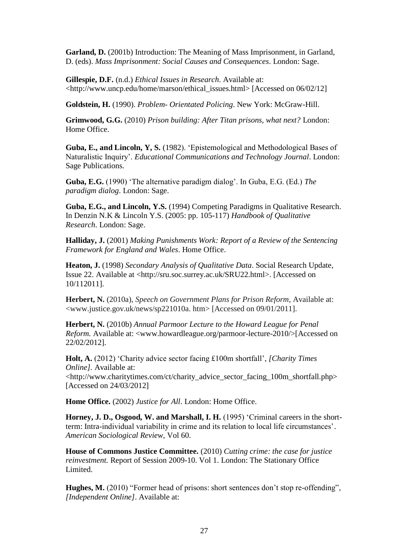**Garland, D.** (2001b) Introduction: The Meaning of Mass Imprisonment, in Garland, D. (eds). *Mass Imprisonment: Social Causes and Consequences*. London: Sage.

**Gillespie, D.F.** (n.d.) *Ethical Issues in Research*. Available at: <http://www.uncp.edu/home/marson/ethical\_issues.html> [Accessed on 06/02/12]

**Goldstein, H.** (1990). *Problem- Orientated Policing*. New York: McGraw-Hill.

**Grimwood, G.G.** (2010) *Prison building: After Titan prisons, what next?* London: Home Office.

**Guba, E., and Lincoln, Y, S.** (1982). 'Epistemological and Methodological Bases of Naturalistic Inquiry'. *Educational Communications and Technology Journal*. London: Sage Publications.

**Guba, E.G.** (1990) 'The alternative paradigm dialog'. In Guba, E.G. (Ed.) *The paradigm dialog*. London: Sage.

**Guba, E.G., and Lincoln, Y.S.** (1994) Competing Paradigms in Qualitative Research. In Denzin N.K & Lincoln Y.S. (2005: pp. 105-117) *Handbook of Qualitative Research*. London: Sage.

**Halliday, J.** (2001) *Making Punishments Work: Report of a Review of the Sentencing Framework for England and Wales*. Home Office.

**Heaton, J.** (1998) *Secondary Analysis of Qualitative Data*. Social Research Update, Issue 22. Available at <http://sru.soc.surrey.ac.uk/SRU22.html>. [Accessed on 10/112011].

**Herbert, N.** (2010a), *Speech on Government Plans for Prison Reform*, Available at: <www.justice.gov.uk/news/sp221010a. htm> [Accessed on 09/01/2011].

**Herbert, N.** (2010b) *Annual Parmoor Lecture to the Howard League for Penal Reform.* Available at: <www.howardleague.org/parmoor-lecture-2010/>[Accessed on 22/02/2012].

**Holt, A.** (2012) 'Charity advice sector facing £100m shortfall', *[Charity Times Online].* Available at:

<http://www.charitytimes.com/ct/charity\_advice\_sector\_facing\_100m\_shortfall.php> [Accessed on 24/03/2012]

**Home Office.** (2002) *Justice for All*. London: Home Office.

**Horney, J. D., Osgood, W. and Marshall, I. H.** (1995) 'Criminal careers in the shortterm: Intra-individual variability in crime and its relation to local life circumstances'. *American Sociological Review,* Vol 60.

**House of Commons Justice Committee.** (2010) *Cutting crime: the case for justice reinvestment.* Report of Session 2009-10. Vol 1. London: The Stationary Office Limited.

**Hughes, M.** (2010) "Former head of prisons: short sentences don't stop re-offending", *[Independent Online]*. Available at: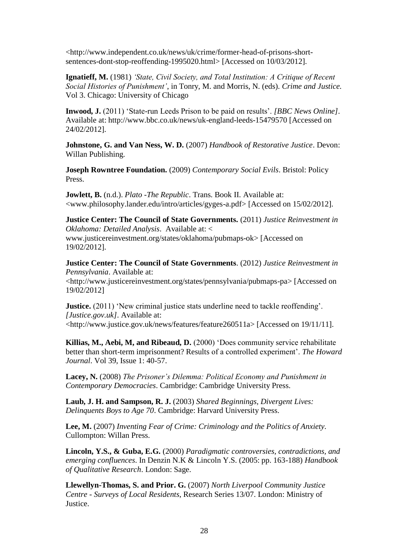<http://www.independent.co.uk/news/uk/crime/former-head-of-prisons-shortsentences-dont-stop-reoffending-1995020.html> [Accessed on 10/03/2012].

**Ignatieff, M.** (1981) *'State, Civil Society, and Total Institution: A Critique of Recent Social Histories of Punishment'*, in Tonry, M. and Morris, N. (eds). *Crime and Justice.* Vol 3. Chicago: University of Chicago

**Inwood, J.** (2011) 'State-run Leeds Prison to be paid on results'. *[BBC News Online]*. Available at: http://www.bbc.co.uk/news/uk-england-leeds-15479570 [Accessed on 24/02/2012].

**Johnstone, G. and Van Ness, W. D.** (2007) *Handbook of Restorative Justice*. Devon: Willan Publishing.

**Joseph Rowntree Foundation.** (2009) *Contemporary Social Evils*. Bristol: Policy Press.

**Jowlett, B.** (n.d.). *Plato -The Republic*. Trans. Book II. Available at: <www.philosophy.lander.edu/intro/articles/gyges-a.pdf> [Accessed on 15/02/2012].

**Justice Center: The Council of State Governments.** (2011) *Justice Reinvestment in Oklahoma: Detailed Analysis*. Available at: < www.justicereinvestment.org/states/oklahoma/pubmaps-ok> [Accessed on 19/02/2012].

**Justice Center: The Council of State Governments**. (2012) *Justice Reinvestment in Pennsylvania*. Available at: <http://www.justicereinvestment.org/states/pennsylvania/pubmaps-pa> [Accessed on 19/02/2012]

**Justice.** (2011) 'New criminal justice stats underline need to tackle reoffending'. *[Justice.gov.uk]*. Available at: <http://www.justice.gov.uk/news/features/feature260511a> [Accessed on 19/11/11].

**Killias, M., Aebi, M, and Ribeaud, D.** (2000) 'Does community service rehabilitate better than short-term imprisonment? Results of a controlled experiment'. *The Howard Journal*. Vol 39, Issue 1: 40-57.

**Lacey, N.** (2008) *The Prisoner's Dilemma: Political Economy and Punishment in Contemporary Democracies*. Cambridge: Cambridge University Press.

**Laub, J. H. and Sampson, R. J.** (2003) *Shared Beginnings, Divergent Lives: Delinquents Boys to Age 70*. Cambridge: Harvard University Press.

**Lee, M.** (2007) *Inventing Fear of Crime: Criminology and the Politics of Anxiety.* Cullompton: Willan Press.

**Lincoln, Y.S., & Guba, E.G.** (2000) *Paradigmatic controversies, contradictions, and emerging confluences*. In Denzin N.K & Lincoln Y.S. (2005: pp. 163-188) *Handbook of Qualitative Research*. London: Sage.

**Llewellyn-Thomas, S. and Prior. G.** (2007) *North Liverpool Community Justice Centre - Surveys of Local Residents*, Research Series 13/07. London: Ministry of Justice.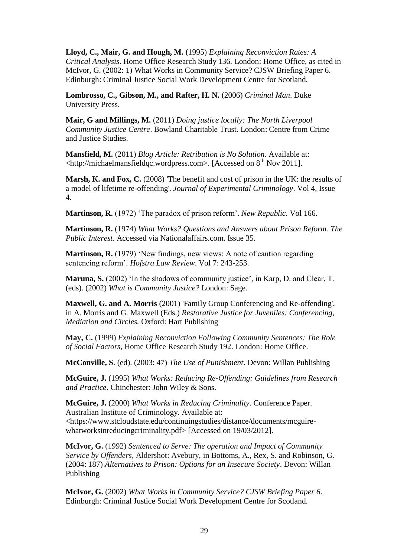**Lloyd, C., Mair, G. and Hough, M.** (1995) *Explaining Reconviction Rates: A Critical Analysis*. Home Office Research Study 136. London: Home Office, as cited in McIvor, G. (2002: 1) What Works in Community Service? CJSW Briefing Paper 6. Edinburgh: Criminal Justice Social Work Development Centre for Scotland.

**Lombrosso, C., Gibson, M., and Rafter, H. N.** (2006) *Criminal Man*. Duke University Press.

**Mair, G and Millings, M.** (2011) *Doing justice locally: The North Liverpool Community Justice Centre*. Bowland Charitable Trust. London: Centre from Crime and Justice Studies.

**Mansfield, M.** (2011) *Blog Article: Retribution is No Solution*. Available at:  $\lt$ http://michaelmansfieldqc.wordpress.com>. [Accessed on  $8<sup>th</sup>$  Nov 2011].

**Marsh, K. and Fox, C.** (2008) The benefit and cost of prison in the UK: the results of a model of lifetime re-offending'. *Journal of Experimental Criminology*. Vol 4, Issue 4.

**Martinson, R.** (1972) 'The paradox of prison reform'. *New Republic*. Vol 166.

**Martinson, R.** (1974) *What Works? Questions and Answers about Prison Reform. The Public Interest*. Accessed via Nationalaffairs.com. Issue 35.

**Martinson, R.** (1979) 'New findings, new views: A note of caution regarding sentencing reform'. *Hofstra Law Review*. Vol 7: 243-253.

**Maruna, S.** (2002) 'In the shadows of community justice', in Karp, D. and Clear, T. (eds). (2002) *What is Community Justice?* London: Sage.

**Maxwell, G. and A. Morris** (2001) 'Family Group Conferencing and Re-offending', in A. Morris and G. Maxwell (Eds.) *Restorative Justice for Juveniles: Conferencing, Mediation and Circles.* Oxford: Hart Publishing

**May, C.** (1999) *Explaining Reconviction Following Community Sentences: The Role of Social Factors*, Home Office Research Study 192. London: Home Office.

**McConville, S**. (ed). (2003: 47) *The Use of Punishment*. Devon: Willan Publishing

**McGuire, J.** (1995) *What Works: Reducing Re-Offending: Guidelines from Research and Practice*. Chinchester: John Wiley & Sons.

**McGuire, J.** (2000) *What Works in Reducing Criminality*. Conference Paper. Australian Institute of Criminology. Available at: <https://www.stcloudstate.edu/continuingstudies/distance/documents/mcguirewhatworksinreducingcriminality.pdf> [Accessed on 19/03/2012].

**McIvor, G.** (1992) *Sentenced to Serve: The operation and Impact of Community Service by Offenders*, Aldershot: Avebury, in Bottoms, A., Rex, S. and Robinson, G. (2004: 187) *Alternatives to Prison: Options for an Insecure Society*. Devon: Willan Publishing

**McIvor, G.** (2002) *What Works in Community Service? CJSW Briefing Paper 6*. Edinburgh: Criminal Justice Social Work Development Centre for Scotland.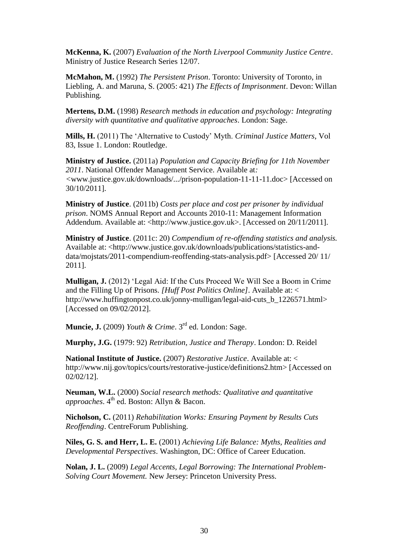**McKenna, K.** (2007) *Evaluation of the North Liverpool Community Justice Centre*. Ministry of Justice Research Series 12/07.

**McMahon, M.** (1992) *The Persistent Prison*. Toronto: University of Toronto, in Liebling, A. and Maruna, S. (2005: 421) *The Effects of Imprisonment*. Devon: Willan Publishing.

**Mertens, D.M.** (1998) *Research methods in education and psychology: Integrating diversity with quantitative and qualitative approaches*. London: Sage.

**Mills, H.** (2011) The 'Alternative to Custody' Myth. *Criminal Justice Matters*, Vol 83, Issue 1. London: Routledge.

**Ministry of Justice.** (2011a) *Population and Capacity Briefing for 11th November 2011*. National Offender Management Service. Available at*: <*www.justice.gov.uk/downloads/.../prison-population-11-11-11.doc> [Accessed on 30/10/2011].

**Ministry of Justice**. (2011b) *Costs per place and cost per prisoner by individual prison*. NOMS Annual Report and Accounts 2010-11: Management Information Addendum. Available at: <http://www.justice.gov.uk>. [Accessed on 20/11/2011].

**Ministry of Justice**. (2011c: 20) *Compendium of re-offending statistics and analysis.* Available at: <http://www.justice.gov.uk/downloads/publications/statistics-anddata/mojstats/2011-compendium-reoffending-stats-analysis.pdf> [Accessed 20/ 11/ 2011].

**Mulligan, J.** (2012) 'Legal Aid: If the Cuts Proceed We Will See a Boom in Crime and the Filling Up of Prisons. *[Huff Post Politics Online]*. Available at: < http://www.huffingtonpost.co.uk/jonny-mulligan/legal-aid-cuts\_b\_1226571.html> [Accessed on 09/02/2012].

**Muncie, J.** (2009) *Youth & Crime*. 3rd ed. London: Sage.

**Murphy, J.G.** (1979: 92) *Retribution, Justice and Therapy*. London: D. Reidel

**National Institute of Justice.** (2007) *Restorative Justice*. Available at: < http://www.nij.gov/topics/courts/restorative-justice/definitions2.htm> [Accessed on 02/02/12].

**Neuman, W.L.** (2000) *Social research methods: Qualitative and quantitative approaches*. 4<sup>th</sup> ed. Boston: Allyn & Bacon.

**Nicholson, C.** (2011) *Rehabilitation Works: Ensuring Payment by Results Cuts Reoffending*. CentreForum Publishing.

**Niles, G. S. and Herr, L. E.** (2001) *Achieving Life Balance: Myths, Realities and Developmental Perspectives*. Washington, DC: Office of Career Education.

**Nolan, J. L.** (2009) *Legal Accents, Legal Borrowing: The International Problem-Solving Court Movement.* New Jersey: Princeton University Press.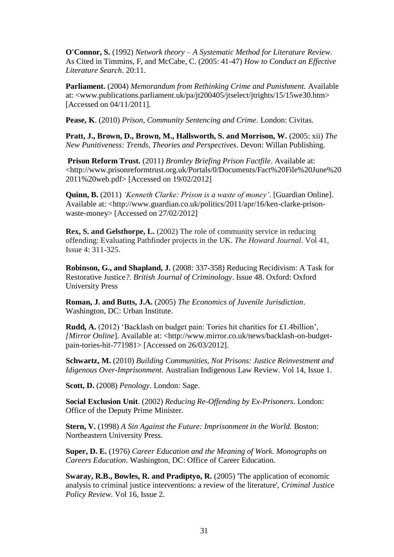**O'Connor, S.** (1992) *Network theory – A Systematic Method for Literature Review.*  As Cited in Timmins, F, and McCabe, C. (2005: 41-47) *How to Conduct an Effective Literature Search*. 20:11.

**Parliament.** (2004) *Memorandum from Rethinking Crime and Punishment.* Available at: <www.publications.parliament.uk/pa/jt200405/jtselect/jtrights/15/15we30.htm> [Accessed on 04/11/2011].

**Pease, K**. (2010) *Prison, Community Sentencing and Crime*. London: Civitas.

**Pratt, J., Brown, D., Brown, M., Hallsworth, S. and Morrison, W.** (2005: xii) *The New Punitiveness: Trends, Theories and Perspectives*. Devon: Willan Publishing.

**Prison Reform Trust.** (2011) *Bromley Briefing Prison Factfile*. Available at: <http://www.prisonreformtrust.org.uk/Portals/0/Documents/Fact%20File%20June%20 2011%20web.pdf> [Accessed on 19/02/2012]

**Quinn, B.** (2011) *'Kenneth Clarke: Prison is a waste of money'*. [Guardian Online]. Available at: <http://www.guardian.co.uk/politics/2011/apr/16/ken-clarke-prisonwaste-money> [Accessed on 27/02/2012]

**Rex, S. and Gelsthorpe, L.** (2002) The role of community service in reducing offending: Evaluating Pathfinder projects in the UK. *The Howard Journal*. Vol 41, Issue 4: 311-325.

**Robinson, G., and Shapland, J.** (2008: 337-358) Reducing Recidivism: A Task for Restorative Justice*?. British Journal of Criminology*. Issue 48. Oxford: Oxford University Press

**Roman, J. and Butts, J.A.** (2005) *The Economics of Juvenile Jurisdiction*. Washington, DC: Urban Institute.

**Rudd, A.** (2012) 'Backlash on budget pain: Tories hit charities for £1.4billion', *[Mirror Online*]. Available at: <http://www.mirror.co.uk/news/backlash-on-budgetpain-tories-hit-771981> [Accessed on 26/03/2012].

**Schwartz, M.** (2010) *Building Communities, Not Prisons: Justice Reinvestment and Idigenous Over-Imprisonment*. Australian Indigenous Law Review. Vol 14, Issue 1.

**Scott, D.** (2008) *Penology*. London: Sage.

**Social Exclusion Unit**. (2002) *Reducing Re-Offending by Ex-Prisoners*. London: Office of the Deputy Prime Minister.

**Stern, V.** (1998) *A Sin Against the Future: Imprisonment in the World.* Boston: Northeastern University Press.

**Super, D. E.** (1976) *Career Education and the Meaning of Work. Monographs on Careers Education*. Washington, DC: Office of Career Education.

**Swaray, R.B., Bowles, R. and Pradiptyo, R.** (2005) 'The application of economic analysis to criminal justice interventions: a review of the literature', *Criminal Justice Policy Review*. Vol 16, Issue 2.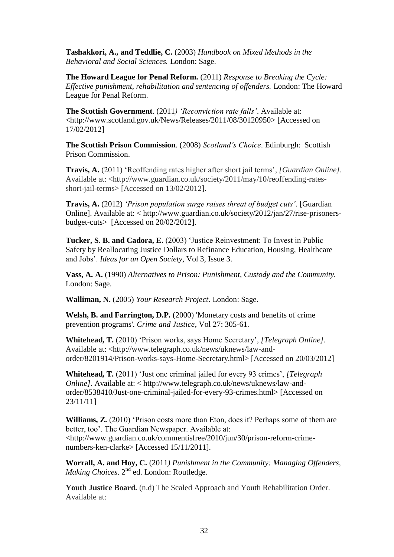**Tashakkori, A., and Teddlie, C.** (2003) *Handbook on Mixed Methods in the Behavioral and Social Sciences.* London: Sage.

**The Howard League for Penal Reform.** (2011) *Response to Breaking the Cycle: Effective punishment, rehabilitation and sentencing of offenders.* London: The Howard League for Penal Reform.

**The Scottish Government**. (2011*) 'Reconviction rate falls'*. Available at: <http://www.scotland.gov.uk/News/Releases/2011/08/30120950> [Accessed on 17/02/2012]

**The Scottish Prison Commission**. (2008) *Scotland's Choice*. Edinburgh: Scottish Prison Commission.

**Travis, A.** (2011) 'Reoffending rates higher after short jail terms'*, [Guardian Online]*. Available at: <http://www.guardian.co.uk/society/2011/may/10/reoffending-ratesshort-jail-terms> [Accessed on 13/02/2012].

**Travis, A.** (2012) *'Prison population surge raises threat of budget cuts'*. [Guardian Online]. Available at: < http://www.guardian.co.uk/society/2012/jan/27/rise-prisonersbudget-cuts> [Accessed on 20/02/2012].

**Tucker, S. B. and Cadora, E.** (2003) 'Justice Reinvestment: To Invest in Public Safety by Reallocating Justice Dollars to Refinance Education, Housing, Healthcare and Jobs'. *Ideas for an Open Society*, Vol 3, Issue 3.

**Vass, A. A.** (1990) *Alternatives to Prison: Punishment, Custody and the Community.* London: Sage.

**Walliman, N.** (2005) *Your Research Project*. London: Sage.

**Welsh, B. and Farrington, D.P.** (2000) 'Monetary costs and benefits of crime prevention programs'. *Crime and Justice*, Vol 27: 305-61.

**Whitehead, T.** (2010) 'Prison works, says Home Secretary', *[Telegraph Online]*. Available at: <http://www.telegraph.co.uk/news/uknews/law-andorder/8201914/Prison-works-says-Home-Secretary.html> [Accessed on 20/03/2012]

**Whitehead, T.** (2011) 'Just one criminal jailed for every 93 crimes', *[Telegraph Online]*. Available at: < http://www.telegraph.co.uk/news/uknews/law-andorder/8538410/Just-one-criminal-jailed-for-every-93-crimes.html> [Accessed on 23/11/11]

**Williams, Z.** (2010) 'Prison costs more than Eton, does it? Perhaps some of them are better, too'. The Guardian Newspaper. Available at: <http://www.guardian.co.uk/commentisfree/2010/jun/30/prison-reform-crimenumbers-ken-clarke> [Accessed 15/11/2011].

**Worrall, A. and Hoy, C.** (2011*) Punishment in the Community: Managing Offenders, Making Choices.* 2<sup>nd</sup> ed. London: Routledge.

**Youth Justice Board.** (n.d) The Scaled Approach and Youth Rehabilitation Order. Available at: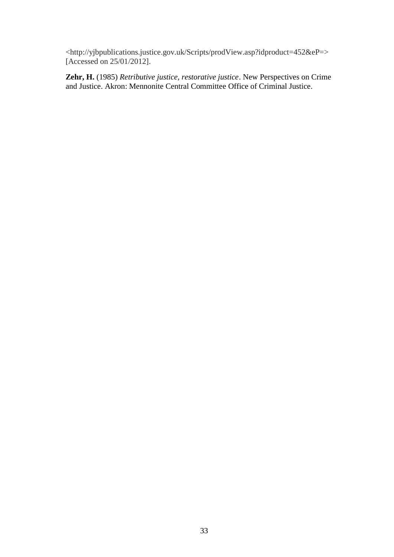<http://yjbpublications.justice.gov.uk/Scripts/prodView.asp?idproduct=452&eP=> [Accessed on 25/01/2012].

**Zehr, H.** (1985) *Retributive justice, restorative justice*. New Perspectives on Crime and Justice. Akron: Mennonite Central Committee Office of Criminal Justice.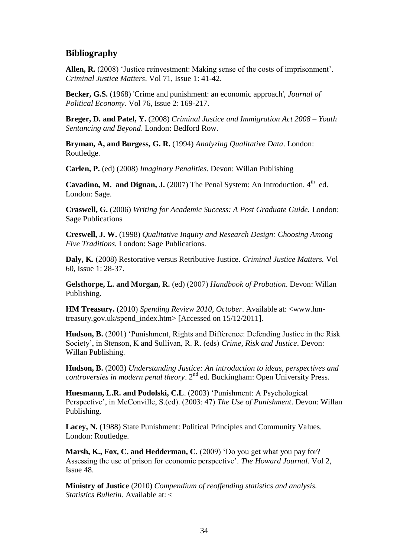#### **Bibliography**

**Allen, R.** (2008) 'Justice reinvestment: Making sense of the costs of imprisonment'. *Criminal Justice Matters*. Vol 71, Issue 1: 41-42.

**Becker, G.S.** (1968) 'Crime and punishment: an economic approach', *Journal of Political Economy*. Vol 76, Issue 2: 169-217.

**Breger, D. and Patel, Y.** (2008) *Criminal Justice and Immigration Act 2008 – Youth Sentancing and Beyond*. London: Bedford Row.

**Bryman, A, and Burgess, G. R.** (1994) *Analyzing Qualitative Data*. London: Routledge.

**Carlen, P.** (ed) (2008) *Imaginary Penalities*. Devon: Willan Publishing

**Cavadino, M. and Dignan, J.** (2007) The Penal System: An Introduction.  $4^{\text{th}}$  ed. London: Sage.

**Craswell, G.** (2006) *Writing for Academic Success: A Post Graduate Guide.* London: Sage Publications

**Creswell, J. W.** (1998) *Qualitative Inquiry and Research Design: Choosing Among Five Traditions.* London: Sage Publications.

**Daly, K.** (2008) Restorative versus Retributive Justice. *Criminal Justice Matters.* Vol 60, Issue 1: 28-37.

**Gelsthorpe, L. and Morgan, R.** (ed) (2007) *Handbook of Probation*. Devon: Willan Publishing.

**HM Treasury.** (2010) *Spending Review 2010, October*. Available at: <www.hmtreasury.gov.uk/spend\_index.htm> [Accessed on 15/12/2011].

**Hudson, B.** (2001) 'Punishment, Rights and Difference: Defending Justice in the Risk Society', in Stenson, K and Sullivan, R. R. (eds) *Crime, Risk and Justice*. Devon: Willan Publishing.

**Hudson, B.** (2003) *Understanding Justice: An introduction to ideas, perspectives and controversies in modern penal theory*. 2<sup>nd</sup> ed. Buckingham: Open University Press.

**Huesmann, L.R. and Podolski, C.L**. (2003) 'Punishment: A Psychological Perspective', in McConville, S.(ed). (2003: 47) *The Use of Punishment*. Devon: Willan Publishing.

**Lacey, N.** (1988) State Punishment: Political Principles and Community Values. London: Routledge.

**Marsh, K., Fox, C. and Hedderman, C.** (2009) 'Do you get what you pay for? Assessing the use of prison for economic perspective'. *The Howard Journal*. Vol 2, Issue 48.

**Ministry of Justice** (2010) *Compendium of reoffending statistics and analysis. Statistics Bulletin*. Available at: <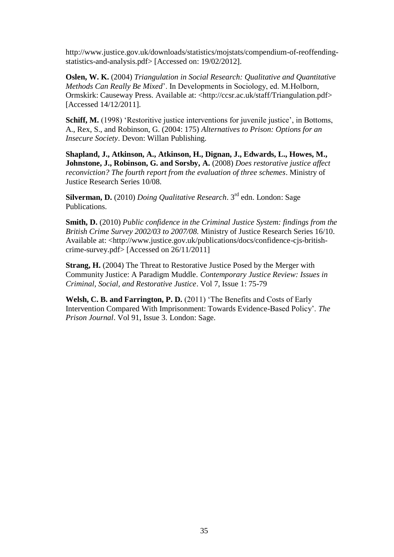http://www.justice.gov.uk/downloads/statistics/mojstats/compendium-of-reoffendingstatistics-and-analysis.pdf> [Accessed on: 19/02/2012].

**Oslen, W. K.** (2004) *Triangulation in Social Research: Qualitative and Quantitative Methods Can Really Be Mixed*'. In Developments in Sociology, ed. M.Holborn, Ormskirk: Causeway Press. Available at: <http://ccsr.ac.uk/staff/Triangulation.pdf> [Accessed 14/12/2011].

**Schiff, M.** (1998) 'Restoritive justice interventions for juvenile justice', in Bottoms, A., Rex, S., and Robinson, G. (2004: 175) *Alternatives to Prison: Options for an Insecure Society*. Devon: Willan Publishing.

**Shapland, J., Atkinson, A., Atkinson, H., Dignan, J., Edwards, L., Howes, M., Johnstone, J., Robinson, G. and Sorsby, A.** (2008) *Does restorative justice affect reconviction? The fourth report from the evaluation of three schemes*. Ministry of Justice Research Series 10/08.

**Silverman, D.** (2010) *Doing Qualitative Research*. 3rd edn. London: Sage Publications.

**Smith, D.** (2010) *Public confidence in the Criminal Justice System: findings from the British Crime Survey 2002/03 to 2007/08.* Ministry of Justice Research Series 16/10. Available at: <http://www.justice.gov.uk/publications/docs/confidence-cjs-britishcrime-survey.pdf> [Accessed on 26/11/2011]

**Strang, H.** (2004) The Threat to Restorative Justice Posed by the Merger with Community Justice: A Paradigm Muddle. *Contemporary Justice Review: Issues in Criminal, Social, and Restorative Justice*. Vol 7, Issue 1: 75-79

**Welsh, C. B. and Farrington, P. D.** (2011) 'The Benefits and Costs of Early Intervention Compared With Imprisonment: Towards Evidence-Based Policy'. *The Prison Journal*. Vol 91, Issue 3. London: Sage.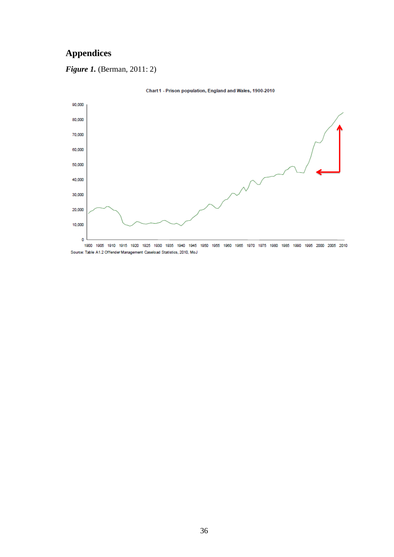## **Appendices**

*Figure 1.* (Berman, 2011: 2)



Chart 1 - Prison population, England and Wales, 1900-2010

Source: Table A1.2 Offender Management Caseload Statistics, 2010, MoJ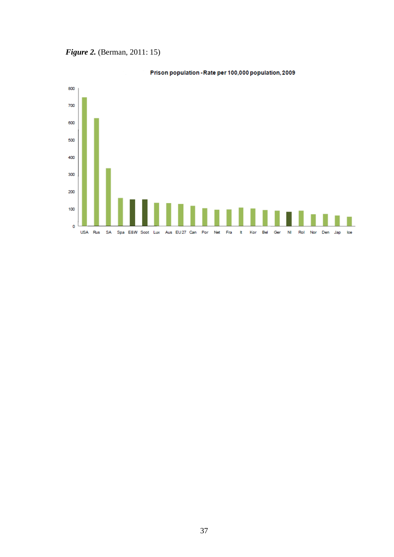*Figure 2. (Berman, 2011: 15)* 



#### Prison population - Rate per 100,000 population, 2009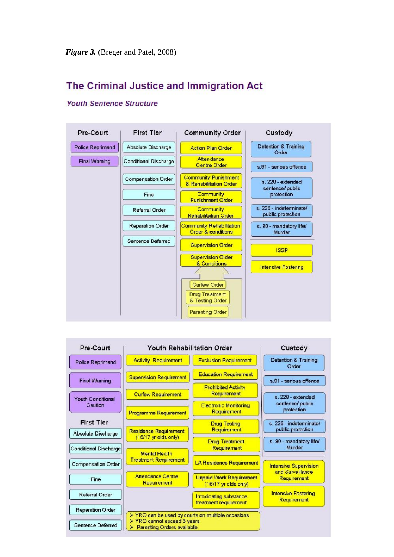## The Criminal Justice and Immigration Act



#### **Youth Sentence Structure**

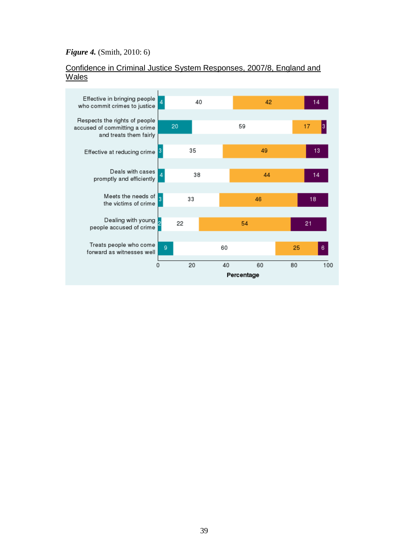#### *Figure 4.* (Smith, 2010: 6)

#### Confidence in Criminal Justice System Responses, 2007/8, England and Wales

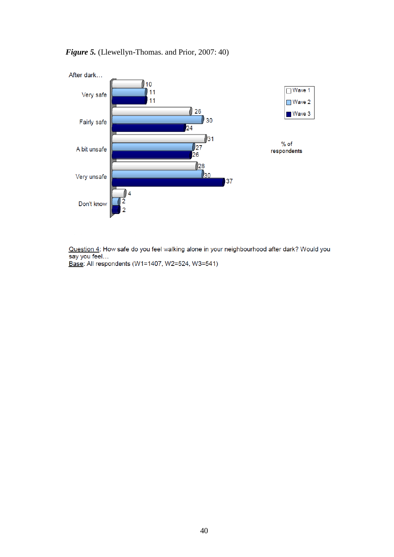

#### *Figure 5.* (Llewellyn-Thomas. and Prior, 2007: 40)

Question 4: How safe do you feel walking alone in your neighbourhood after dark? Would you say you feel... Base: All respondents (W1=1407, W2=524, W3=541)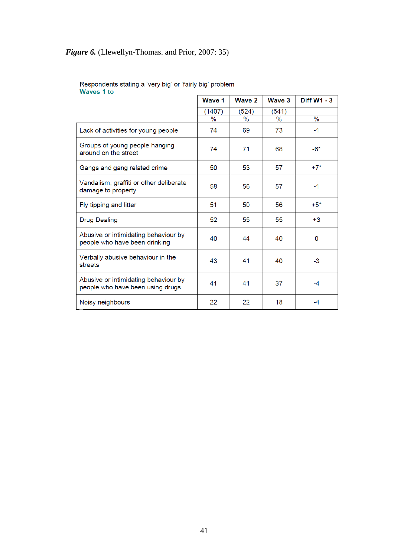## *Figure 6.* (Llewellyn-Thomas. and Prior, 2007: 35)

|                                                                          | Wave 1 | Wave 2 | Wave 3 | <b>Diff W1 - 3</b> |
|--------------------------------------------------------------------------|--------|--------|--------|--------------------|
|                                                                          | (1407) | (524)  | (541)  |                    |
|                                                                          | $\%$   | $\%$   | $\%$   | $\%$               |
| Lack of activities for young people                                      | 74     | 69     | 73     | $-1$               |
| Groups of young people hanging<br>around on the street                   | 74     | 71     | 68     | $-6*$              |
| Gangs and gang related crime                                             | 50     | 53     | 57     | $+7*$              |
| Vandalism, graffiti or other deliberate<br>damage to property            | 58     | 56     | 57     | $-1$               |
| Fly tipping and litter                                                   | 51     | 50     | 56     | $+5*$              |
| <b>Drug Dealing</b>                                                      | 52     | 55     | 55     | $+3$               |
| Abusive or intimidating behaviour by<br>people who have been drinking    | 40     | 44     | 40     | 0                  |
| Verbally abusive behaviour in the<br>streets                             | 43     | 41     | 40     | $-3$               |
| Abusive or intimidating behaviour by<br>people who have been using drugs | 41     | 41     | 37     | $-4$               |
| Noisy neighbours                                                         | 22     | 22     | 18     | -4                 |

# Respondents stating a 'very big' or 'fairly big' problem<br>Waves 1 to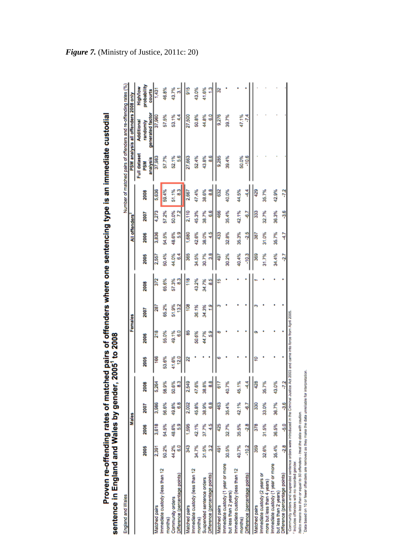| England and Wales                                                                                                                                                             |              |             |              |                 |                         |                                          |               |             |            |                |                 |            |                                 | Number of matched pairs of offenders and re-offending rates (%) |                                   |
|-------------------------------------------------------------------------------------------------------------------------------------------------------------------------------|--------------|-------------|--------------|-----------------|-------------------------|------------------------------------------|---------------|-------------|------------|----------------|-----------------|------------|---------------------------------|-----------------------------------------------------------------|-----------------------------------|
|                                                                                                                                                                               |              | Males       |              |                 |                         | Females                                  |               |             |            | All offenders  |                 |            |                                 | PSM analysis all offenders 2008 only                            |                                   |
|                                                                                                                                                                               | 2005         | 2006        | 2007         | 2008            | 2005                    | 2006                                     | 2007          | 2008        | 2005       | 2006           | 2007            | 2008       | Full dataset<br>analysis<br>PSM | generated factor<br>Additional<br>randomly                      | probability<br>High/low<br>courts |
| Matched pairs                                                                                                                                                                 | 2,391        | 3,618       | 3,986        | 5,264           | 166                     | 218                                      | 287           | 372         | 2,557      | 3,836          | 4,273           | 5,636      | 37,983                          | 37,960                                                          | 1,431                             |
| Immediate custody (less than 12<br>months)                                                                                                                                    | 50.2%        | 54.5%       | 56.6%        | 58.9%           | 53.6%                   | 55.0%                                    | 65.2%         | 65.6%       | 50.4%      | 54.5%          | 57.2%           | 59.4%      | 57.7%                           | 57.5%                                                           | 46.8%                             |
| Difference (percentage points)<br>Community orders                                                                                                                            | 44.2%<br>8.0 | 48.6%<br>53 | 6.8<br>49.8% | 50.6%<br>3      | 41.6%<br>$\frac{20}{2}$ | 49.1%<br>8                               | 13.2<br>51.9% | 57.3%<br>្ជ | 44.0%<br>3 | 39<br>48.6%    | 50.0%<br>2      | 3<br>51.1% | 56<br>52.1%                     | Į<br>53.1%                                                      | 43.7%<br>5                        |
| Matched pairs                                                                                                                                                                 | 343          | ,595        | 2,002        | 2,549           | R                       | 2                                        | ខ្ល           | 118         | 365        | .680           | 2,110           | 2,667      | 27,663                          | 27,500                                                          | $\frac{5}{2}$                     |
| Immediate custody (less than 12<br>months)                                                                                                                                    | 34.7%        | 42.1%       | 45.8%        | 47.6%           |                         | 50.6%                                    | 36.1%         | 43.2%       | 34.5%      | 42.6%          | 45.3%           | 47.4%      | 52.4%                           | 50.8%                                                           | 43.0%                             |
| Suspended sentence orders                                                                                                                                                     | 31.5%        | 37.7%       | 38.9%        | 38.8%           |                         | 44.7%                                    | 34.3%         | 34.7%       | 30.7%      | 38.0%          | 38.7%           | 38.6%      | 43.8%                           | 44.8%                                                           | 41.6%                             |
| Difference (percentage points)                                                                                                                                                | 32           | Ş           | 88           | 33              |                         | 3                                        |               | 85          | 33         | ş              | 3               | 38         | 8.6                             | 80                                                              | 2                                 |
| Matched pairs                                                                                                                                                                 | 491          | 425         | 463          | 617             |                         | œ                                        |               | 9           | 497        | 33             | 466             | 632        | 9,285                           | 9,276                                                           | <b>B</b>                          |
| Immediate custody (1 year or more<br>but less than 2 years)                                                                                                                   | 30.5%        | 32.7%       | 35.4%        | 40.7%           |                         |                                          |               |             | 30.2%      | 32.8%          | 35.4%           | 40.0%      | 39.4%                           | 39.7%                                                           |                                   |
| Immediate custody (less than 12<br>months)                                                                                                                                    | 40.7%        | 35.5%       | 42.1%        | 45.1%           |                         |                                          |               |             | 40.4%      | 35.3%          | 42.1%           | 44.5%      | 50.0%                           | 47.1%                                                           |                                   |
| Difference (percentage points)                                                                                                                                                | $-10.2$      | 28          | Ģ            | 44              |                         |                                          |               |             | $-10.3$    | $\frac{5}{25}$ | 5               | Į          | $-10.6$                         | ż                                                               |                                   |
| Matched pairs                                                                                                                                                                 | 359          | 378         | 330          | 428             |                         |                                          |               |             | 369        | $\frac{1}{36}$ | 33              | 429        |                                 |                                                                 |                                   |
| Immediate custody (2 years or<br>more but less than 4 years)                                                                                                                  | 32.6%        | 31.5%       | 33.0%        | 35.7%           |                         |                                          |               |             | 31.7%      | 31.0%          | 32.7%           | 35.7%      |                                 |                                                                 |                                   |
| Immediate custody (1 year or more<br>but less than 2 years)                                                                                                                   | 35.4%        | 36.5%       | 36.7%        | 43.0%           |                         |                                          |               |             | 34.4%      | 35.7%          | 36.3%           | 42.9%      |                                 |                                                                 |                                   |
| Difference (percentage points)                                                                                                                                                | $-2.8$       | 50          | -3.6         | $\overline{72}$ |                         |                                          |               |             | Ņ          | Ş              | $\frac{3.6}{7}$ | -72        |                                 |                                                                 |                                   |
| Community orders and suspended sentence orders were introduced in the Criminal Justice Act 2<br>in the color of the color of the color of the color of the color of the color |              |             |              |                 |                         | 1003 and came into force from April 2005 |               |             |            |                |                 |            |                                 |                                                                 |                                   |

Proven re-offending rates of matched pairs of offenders where one sentencing type is an immediate custodial<br>sentence in England and Wales by gender, 2005<sup>1</sup> to 2008

" Includes offenders with no recorded gender.<br>Jtalics means less than or equal to 50 offenders - treat the data with caution.<br>"Data based on 10 or fewer offenders are nemoved as they make the data unreliable for interpreta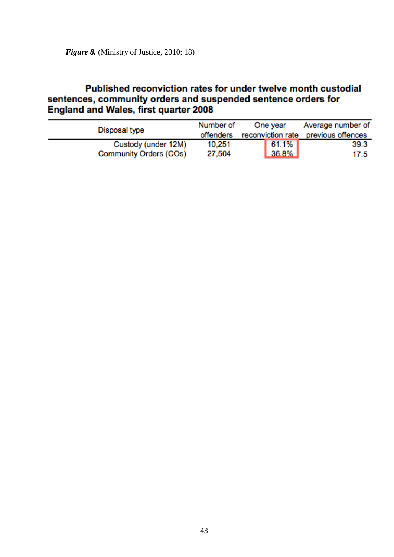## Published reconviction rates for under twelve month custodial sentences, community orders and suspended sentence orders for England and Wales, first quarter 2008

| Disposal type          | Number of | One year          | Average number of |
|------------------------|-----------|-------------------|-------------------|
|                        | offenders | reconviction rate | previous offences |
| Custody (under 12M)    | 10,251    | 61.1%             | 39.3              |
| Community Orders (COs) | 27,504    | $36.8\%$          | 17.5              |